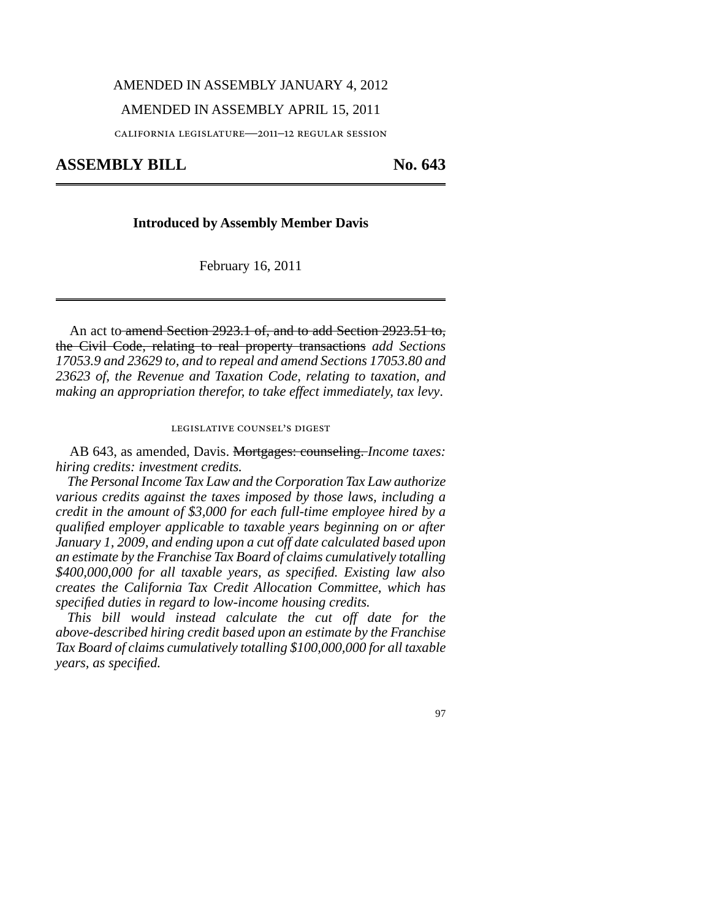#### AMENDED IN ASSEMBLY JANUARY 4, 2012

## AMENDED IN ASSEMBLY APRIL 15, 2011

california legislature—2011–12 regular session

# ASSEMBLY BILL No. 643

## 1 **Introduced by Assembly Member Davis**

February 16, 2011

An act to amend Section 2923.1 of, and to add Section 2923.51 to, the Civil Code, relating to real property transactions *add Sections 17053.9 and 23629 to, and to repeal and amend Sections 17053.80 and 23623 of, the Revenue and Taxation Code, relating to taxation, and making an appropriation therefor, to take effect immediately, tax levy*.

# legislative counsel' s digest

AB 643, as amended, Davis. Mortgages: counseling. *Income taxes: hiring credits: investment credits.*

*The Personal Income Tax Law and the Corporation Tax Law authorize various credits against the taxes imposed by those laws, including a credit in the amount of \$3,000 for each full-time employee hired by a qualified employer applicable to taxable years beginning on or after January 1, 2009, and ending upon a cut off date calculated based upon an estimate by the Franchise Tax Board of claims cumulatively totalling \$400,000,000 for all taxable years, as specified. Existing law also creates the California Tax Credit Allocation Committee, which has specified duties in regard to low-income housing credits.*

*This bill would instead calculate the cut off date for the above-described hiring credit based upon an estimate by the Franchise Tax Board of claims cumulatively totalling \$100,000,000 for all taxable years, as specified.*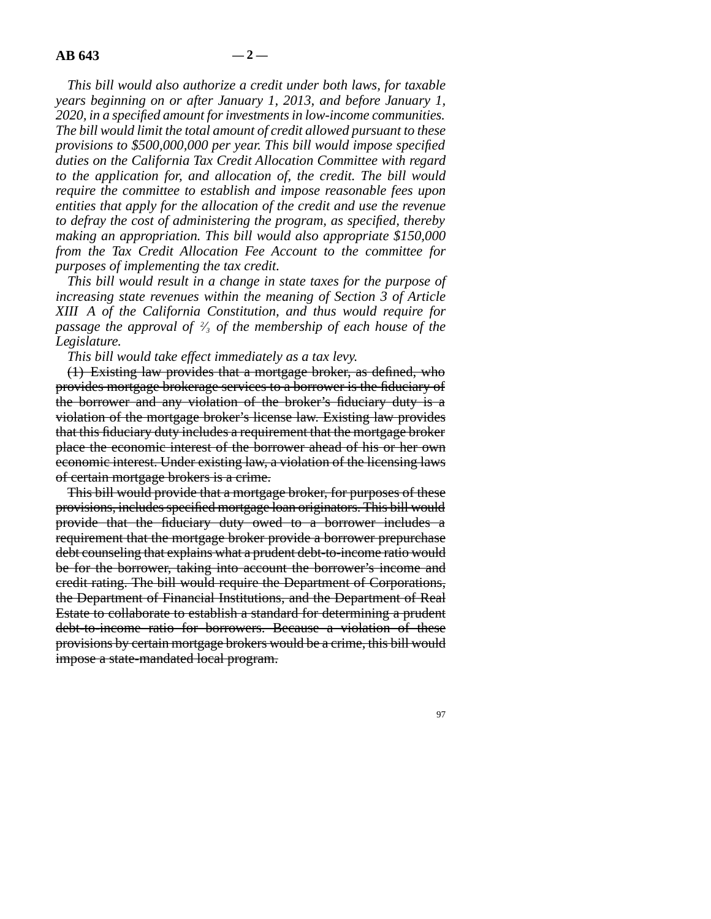*This bill would also authorize a credit under both laws, for taxable years beginning on or after January 1, 2013, and before January 1, 2020, in a specified amount for investments in low-income communities. The bill would limit the total amount of credit allowed pursuant to these provisions to \$500,000,000 per year. This bill would impose specified duties on the California Tax Credit Allocation Committee with regard to the application for, and allocation of, the credit. The bill would require the committee to establish and impose reasonable fees upon entities that apply for the allocation of the credit and use the revenue to defray the cost of administering the program, as specified, thereby making an appropriation. This bill would also appropriate \$150,000 from the Tax Credit Allocation Fee Account to the committee for purposes of implementing the tax credit.*

*This bill would result in a change in state taxes for the purpose of increasing state revenues within the meaning of Section 3 of Article XIII A of the California Constitution, and thus would require for passage the approval of <sup>2</sup> ⁄3 of the membership of each house of the Legislature.*

*This bill would take effect immediately as a tax levy.*

(1) Existing law provides that a mortgage broker, as defined, who provides mortgage brokerage services to a borrower is the fiduciary of the borrower and any violation of the broker's fiduciary duty is a violation of the mortgage broker's license law. Existing law provides that this fiduciary duty includes a requirement that the mortgage broker place the economic interest of the borrower ahead of his or her own economic interest. Under existing law, a violation of the licensing laws of certain mortgage brokers is a crime.

This bill would provide that a mortgage broker, for purposes of these provisions, includes specified mortgage loan originators. This bill would provide that the fiduciary duty owed to a borrower includes a requirement that the mortgage broker provide a borrower prepurchase debt counseling that explains what a prudent debt-to-income ratio would be for the borrower, taking into account the borrower's income and credit rating. The bill would require the Department of Corporations, the Department of Financial Institutions, and the Department of Real Estate to collaborate to establish a standard for determining a prudent debt-to-income ratio for borrowers. Because a violation of these provisions by certain mortgage brokers would be a crime, this bill would impose a state-mandated local program.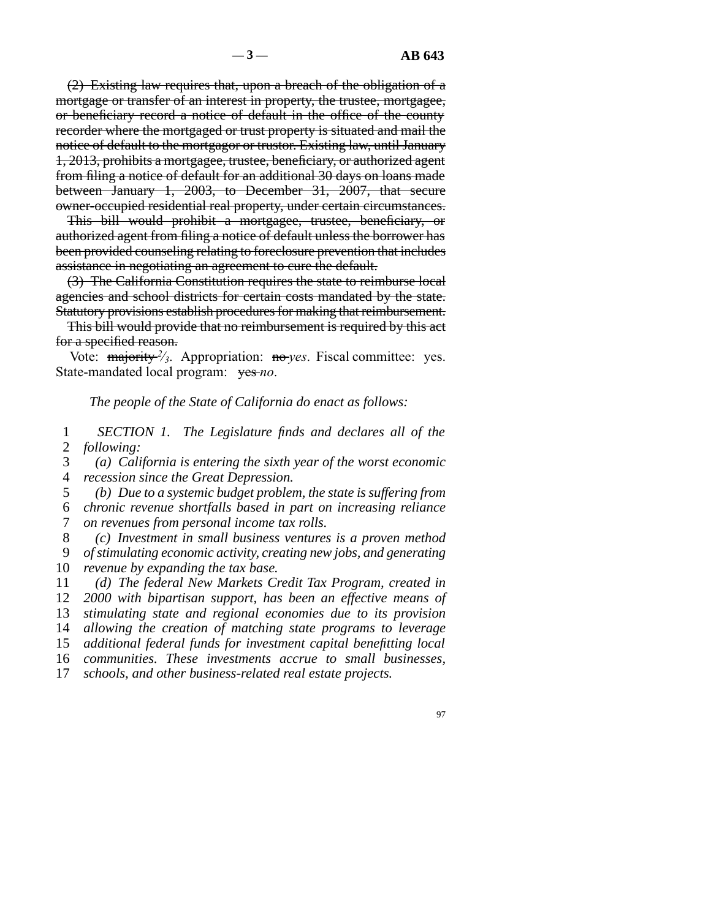(2) Existing law requires that, upon a breach of the obligation of a mortgage or transfer of an interest in property, the trustee, mortgagee, or beneficiary record a notice of default in the office of the county recorder where the mortgaged or trust property is situated and mail the notice of default to the mortgagor or trustor. Existing law, until January 1, 2013, prohibits a mortgagee, trustee, beneficiary, or authorized agent from filing a notice of default for an additional 30 days on loans made between January 1, 2003, to December 31, 2007, that secure owner-occupied residential real property, under certain circumstances.

This bill would prohibit a mortgagee, trustee, beneficiary, or authorized agent from filing a notice of default unless the borrower has been provided counseling relating to foreclosure prevention that includes assistance in negotiating an agreement to cure the default.

(3) The California Constitution requires the state to reimburse local agencies and school districts for certain costs mandated by the state. Statutory provisions establish procedures for making that reimbursement.

This bill would provide that no reimbursement is required by this act for a specified reason.

Vote: majority <sup>2</sup>/<sub>3</sub>. Appropriation: no *yes*. Fiscal committee: yes. State-mandated local program: yes-no.

### *The people of the State of California do enact as follows:*

1 2 *SECTION 1. The Legislature finds and declares all of the following:*

3 4 *(a) California is entering the sixth year of the worst economic recession since the Great Depression.*

5 *(b) Due to a systemic budget problem, the state is suffering from*

6 7 *chronic revenue shortfalls based in part on increasing reliance on revenues from personal income tax rolls.*

8 9 10 *(c) Investment in small business ventures is a proven method of stimulating economic activity, creating new jobs, and generating revenue by expanding the tax base.*

11 12 13 14 15 16 *(d) The federal New Markets Credit Tax Program, created in 2000 with bipartisan support, has been an effective means of stimulating state and regional economies due to its provision allowing the creation of matching state programs to leverage additional federal funds for investment capital benefitting local communities. These investments accrue to small businesses,*

17 *schools, and other business-related real estate projects.*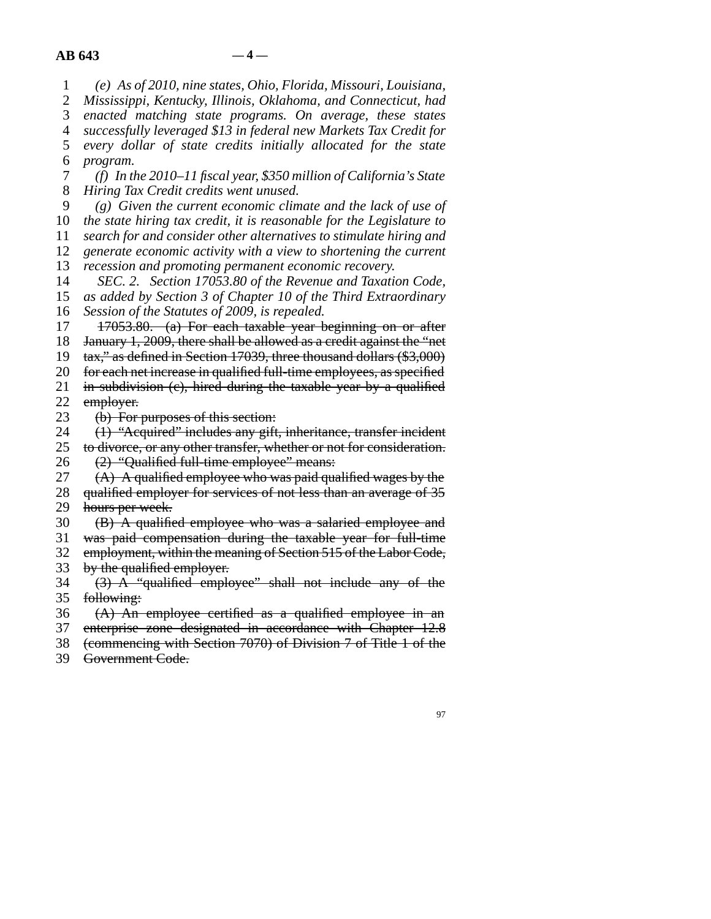1 2 3 4 5 6 7 8 9 10 11 12 13 14 15 16 17 18 19 20 21 22 23 24 25 26 27 28 29 30 31 32 33 34 35 36 37 38 39 *(e) As of 2010, nine states, Ohio, Florida, Missouri, Louisiana, Mississippi, Kentucky, Illinois, Oklahoma, and Connecticut, had enacted matching state programs. On average, these states successfully leveraged \$13 in federal new Markets Tax Credit for every dollar of state credits initially allocated for the state program. (f) In the 2010–11 fiscal year, \$350 million of California's State Hiring Tax Credit credits went unused. (g) Given the current economic climate and the lack of use of the state hiring tax credit, it is reasonable for the Legislature to search for and consider other alternatives to stimulate hiring and generate economic activity with a view to shortening the current recession and promoting permanent economic recovery. SEC. 2. Section 17053.80 of the Revenue and Taxation Code, as added by Section 3 of Chapter 10 of the Third Extraordinary Session of the Statutes of 2009, is repealed.* 17053.80. (a) For each taxable year beginning on or after January 1, 2009, there shall be allowed as a credit against the "net tax," as defined in Section 17039, three thousand dollars (\$3,000) for each net increase in qualified full-time employees, as specified in subdivision (e), hired during the taxable year by a qualified employer. (b) For purposes of this section: (1) "Acquired" includes any gift, inheritance, transfer incident to divorce, or any other transfer, whether or not for consideration. (2) "Qualified full-time employee" means: (A) A qualified employee who was paid qualified wages by the qualified employer for services of not less than an average of 35 hours per week. (B) A qualified employee who was a salaried employee and was paid compensation during the taxable year for full-time employment, within the meaning of Section 515 of the Labor Code, by the qualified employer. (3) A "qualified employee" shall not include any of the following: (A) An employee certified as a qualified employee in an enterprise zone designated in accordance with Chapter 12.8 (commencing with Section 7070) of Division 7 of Title 1 of the Government Code.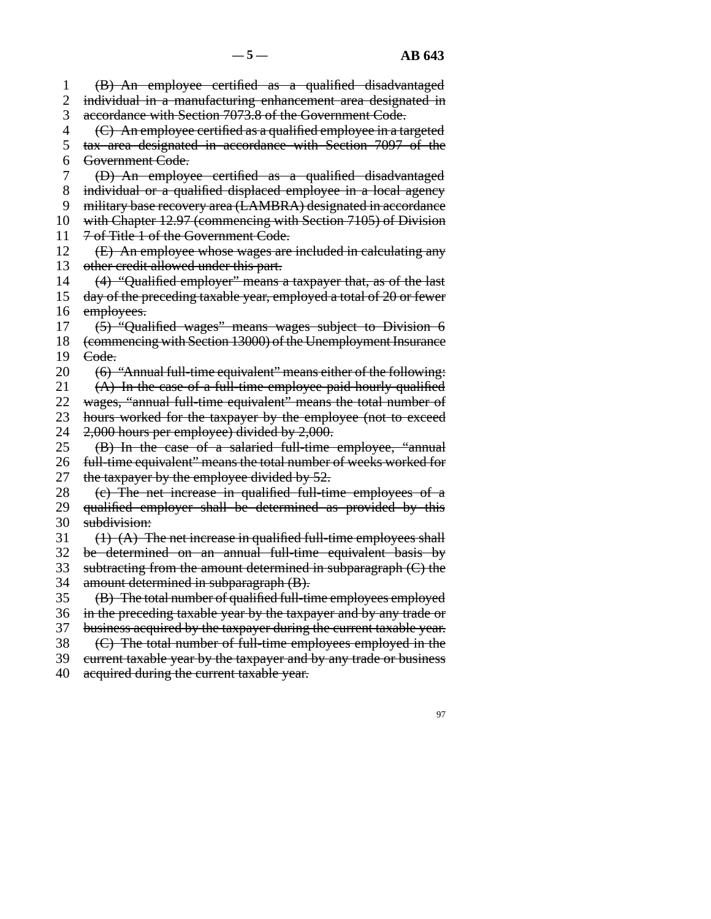1 2 3 4 5 6 7 8 9 10 11 12 13 14 15 16 17 18 19 20 21 22 23 24 25 26 27 28 29 30 31 32 33 34 35 36 37 38 39 40 (B) An employee certified as a qualified disadvantaged individual in a manufacturing enhancement area designated in accordance with Section 7073.8 of the Government Code. (C) An employee certified as a qualified employee in a targeted tax area designated in accordance with Section 7097 of the Government Code. (D) An employee certified as a qualified disadvantaged individual or a qualified displaced employee in a local agency military base recovery area (LAMBRA) designated in accordance with Chapter 12.97 (commencing with Section 7105) of Division 7 of Title 1 of the Government Code. (E) An employee whose wages are included in calculating any other credit allowed under this part. (4) "Qualified employer" means a taxpayer that, as of the last day of the preceding taxable year, employed a total of 20 or fewer employees. (5) "Qualified wages" means wages subject to Division 6 (commencing with Section 13000) of the Unemployment Insurance Code. (6) "Annual full-time equivalent" means either of the following: (A) In the case of a full-time employee paid hourly qualified wages, "annual full-time equivalent" means the total number of hours worked for the taxpayer by the employee (not to exceed 2,000 hours per employee) divided by 2,000. (B) In the case of a salaried full-time employee, "annual full-time equivalent" means the total number of weeks worked for the taxpayer by the employee divided by 52. (c) The net increase in qualified full-time employees of a qualified employer shall be determined as provided by this subdivision:  $(1)$   $(A)$  The net increase in qualified full-time employees shall be determined on an annual full-time equivalent basis by subtracting from the amount determined in subparagraph (C) the amount determined in subparagraph (B). (B) The total number of qualified full-time employees employed in the preceding taxable year by the taxpayer and by any trade or business acquired by the taxpayer during the current taxable year. (C) The total number of full-time employees employed in the current taxable year by the taxpayer and by any trade or business acquired during the current taxable year.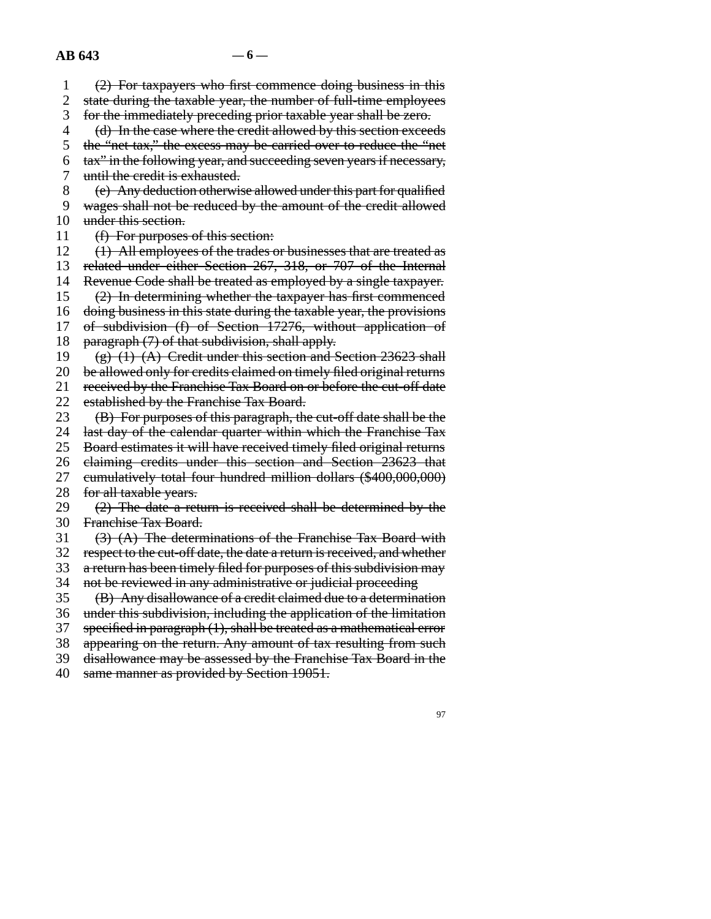1 2 3 4 5 6 7 8 9 10 11 12 13 14 15 16 17 18 19 20 21 22 23 24 25 26 27 28 29 30 31 32 33 34 35 36 37 38 39 40 (2) For taxpayers who first commence doing business in this state during the taxable year, the number of full-time employees for the immediately preceding prior taxable year shall be zero. (d) In the case where the credit allowed by this section exceeds the "net tax," the excess may be carried over to reduce the "net tax" in the following year, and succeeding seven years if necessary, until the credit is exhausted. (e) Any deduction otherwise allowed under this part for qualified wages shall not be reduced by the amount of the credit allowed under this section. (f) For purposes of this section: (1) All employees of the trades or businesses that are treated as related under either Section 267, 318, or 707 of the Internal Revenue Code shall be treated as employed by a single taxpayer. (2) In determining whether the taxpayer has first commenced doing business in this state during the taxable year, the provisions of subdivision (f) of Section 17276, without application of paragraph (7) of that subdivision, shall apply.  $(g)$  (1) (A) Credit under this section and Section 23623 shall be allowed only for credits claimed on timely filed original returns received by the Franchise Tax Board on or before the cut-off date established by the Franchise Tax Board. (B) For purposes of this paragraph, the cut-off date shall be the last day of the calendar quarter within which the Franchise Tax Board estimates it will have received timely filed original returns claiming credits under this section and Section 23623 that cumulatively total four hundred million dollars (\$400,000,000) for all taxable years. (2) The date a return is received shall be determined by the Franchise Tax Board. (3) (A) The determinations of the Franchise Tax Board with respect to the cut-off date, the date a return is received, and whether a return has been timely filed for purposes of this subdivision may not be reviewed in any administrative or judicial proceeding (B) Any disallowance of a credit claimed due to a determination under this subdivision, including the application of the limitation specified in paragraph (1), shall be treated as a mathematical error appearing on the return. Any amount of tax resulting from such disallowance may be assessed by the Franchise Tax Board in the same manner as provided by Section 19051.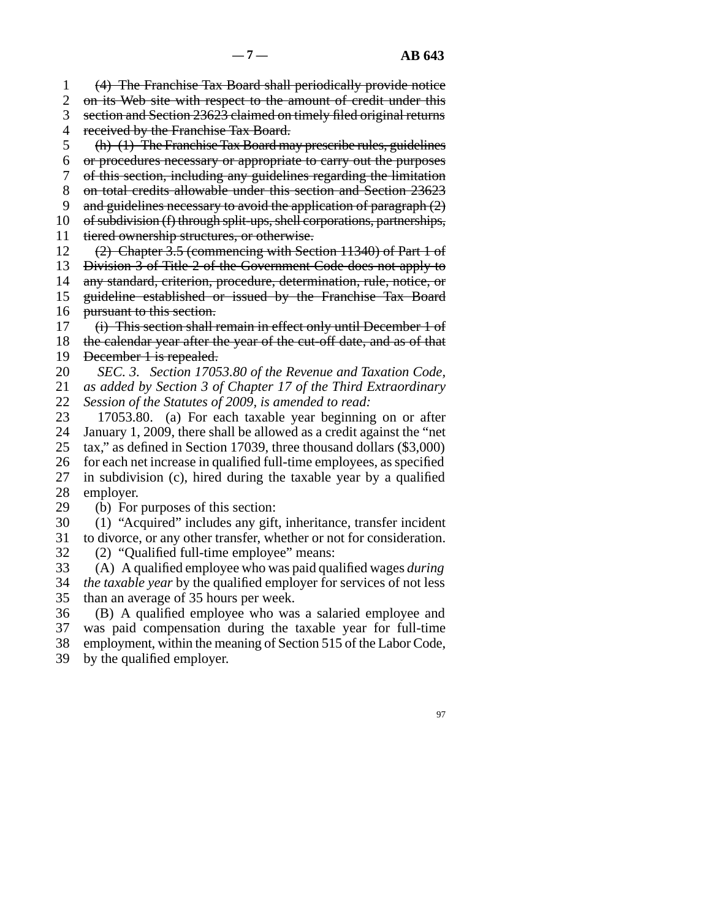1 (4) The Franchise Tax Board shall periodically provide notice

2 3 4 on its Web site with respect to the amount of credit under this section and Section 23623 claimed on timely filed original returns received by the Franchise Tax Board.

5 (h) (1) The Franchise Tax Board may prescribe rules, guidelines

- 6 or procedures necessary or appropriate to carry out the purposes
- 7 of this section, including any guidelines regarding the limitation
- 8 on total credits allowable under this section and Section 23623
- 9 and guidelines necessary to avoid the application of paragraph  $(2)$
- 10 of subdivision (f) through split-ups, shell corporations, partnerships,
- 11 tiered ownership structures, or otherwise.
- 12 (2) Chapter 3.5 (commencing with Section 11340) of Part 1 of
- 13 Division 3 of Title 2 of the Government Code does not apply to
- 14 any standard, criterion, procedure, determination, rule, notice, or
- 15 16 guideline established or issued by the Franchise Tax Board pursuant to this section.

17 18 (i) This section shall remain in effect only until December 1 of the calendar year after the year of the cut-off date, and as of that

- 19 December 1 is repealed.
- 20 21 *SEC. 3. Section 17053.80 of the Revenue and Taxation Code, as added by Section 3 of Chapter 17 of the Third Extraordinary*
- 22 *Session of the Statutes of 2009, is amended to read:*
- 23 17053.80. (a) For each taxable year beginning on or after
- 24 25 January 1, 2009, there shall be allowed as a credit against the "net tax," as defined in Section 17039, three thousand dollars (\$3,000)
- 26 for each net increase in qualified full-time employees, as specified
- 27 28 in subdivision (c), hired during the taxable year by a qualified employer.
- 29 (b) For purposes of this section:
- 30 (1) "Acquired" includes any gift, inheritance, transfer incident
- 31 to divorce, or any other transfer, whether or not for consideration.
- 32 (2) "Qualified full-time employee" means:
- 33 (A) A qualified employee who was paid qualified wages *during*
- 34 35 *the taxable year* by the qualified employer for services of not less than an average of 35 hours per week.
- 36 37 (B) A qualified employee who was a salaried employee and was paid compensation during the taxable year for full-time
- 38 employment, within the meaning of Section 515 of the Labor Code,
- 39 by the qualified employer.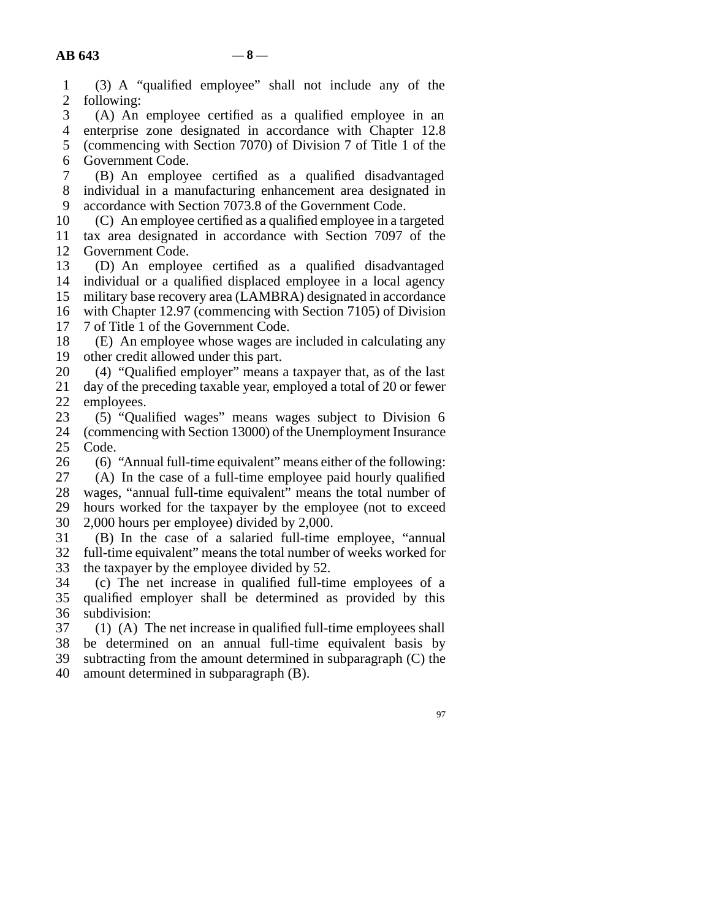| AB 643         | $-8-$                                                                                                |  |
|----------------|------------------------------------------------------------------------------------------------------|--|
| $\mathbf{1}$   | (3) A "qualified employee" shall not include any of the                                              |  |
| $\mathbf{2}$   | following:                                                                                           |  |
| 3              | (A) An employee certified as a qualified employee in an                                              |  |
| $\overline{4}$ | enterprise zone designated in accordance with Chapter 12.8                                           |  |
| 5              | (commencing with Section 7070) of Division 7 of Title 1 of the                                       |  |
| 6              | Government Code.                                                                                     |  |
| 7              | (B) An employee certified as a qualified disadvantaged                                               |  |
| $\,8$          | individual in a manufacturing enhancement area designated in                                         |  |
| 9              | accordance with Section 7073.8 of the Government Code.                                               |  |
| 10             | (C) An employee certified as a qualified employee in a targeted                                      |  |
| 11             | tax area designated in accordance with Section 7097 of the                                           |  |
| 12             | Government Code.                                                                                     |  |
| 13             | (D) An employee certified as a qualified disadvantaged                                               |  |
| 14             | individual or a qualified displaced employee in a local agency                                       |  |
| 15             | military base recovery area (LAMBRA) designated in accordance                                        |  |
| 16             | with Chapter 12.97 (commencing with Section 7105) of Division                                        |  |
| 17<br>18       | 7 of Title 1 of the Government Code.                                                                 |  |
| 19             | (E) An employee whose wages are included in calculating any<br>other credit allowed under this part. |  |
| 20             | (4) "Qualified employer" means a taxpayer that, as of the last                                       |  |
| 21             | day of the preceding taxable year, employed a total of 20 or fewer                                   |  |
| 22             | employees.                                                                                           |  |
| 23             | (5) "Qualified wages" means wages subject to Division 6                                              |  |
| 24             | (commencing with Section 13000) of the Unemployment Insurance                                        |  |
| 25             | Code.                                                                                                |  |
| 26             | (6) "Annual full-time equivalent" means either of the following:                                     |  |
| 27             | (A) In the case of a full-time employee paid hourly qualified                                        |  |
| 28             | wages, "annual full-time equivalent" means the total number of                                       |  |
| 29             | hours worked for the taxpayer by the employee (not to exceed                                         |  |
| 30             | 2,000 hours per employee) divided by 2,000.                                                          |  |
| 31             | (B) In the case of a salaried full-time employee, "annual                                            |  |
| 32             | full-time equivalent" means the total number of weeks worked for                                     |  |
| 33             | the taxpayer by the employee divided by 52                                                           |  |
| 34             | (c) The net increase in qualified full-time employees of a                                           |  |
| 35<br>36       | qualified employer shall be determined as provided by this<br>subdivision:                           |  |
| 37             | (1) (A) The net increase in qualified full-time employees shall                                      |  |
| 38             | be determined on an annual full-time equivalent basis by                                             |  |
| 39             | subtracting from the amount determined in subparagraph (C) the                                       |  |
| 40             | amount determined in subparagraph (B).                                                               |  |
|                |                                                                                                      |  |
|                |                                                                                                      |  |
|                | 97                                                                                                   |  |
|                |                                                                                                      |  |
|                |                                                                                                      |  |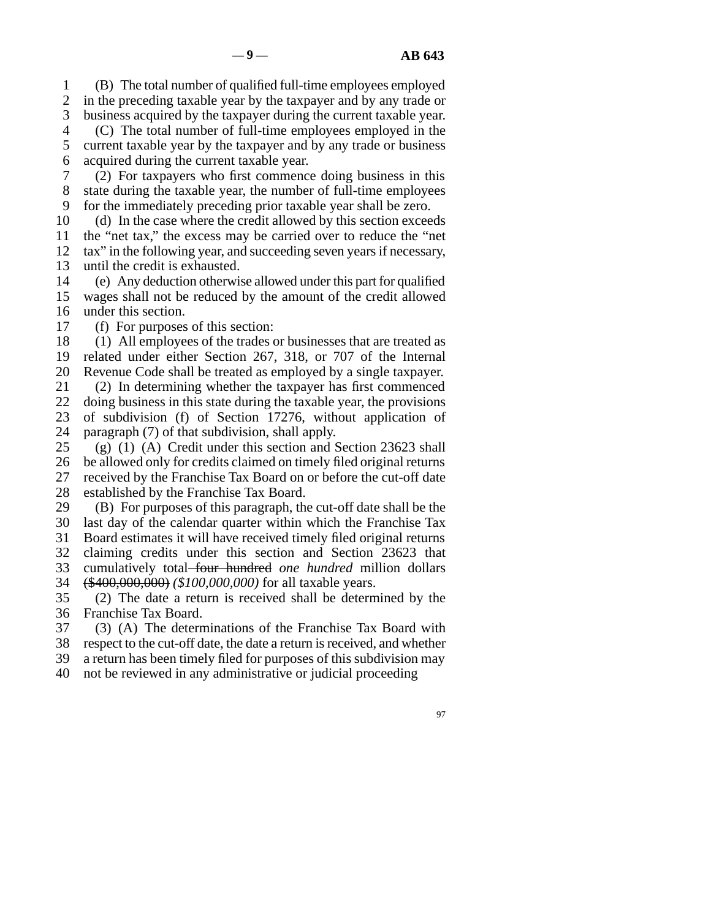1 2 3 4 (B) The total number of qualified full-time employees employed in the preceding taxable year by the taxpayer and by any trade or business acquired by the taxpayer during the current taxable year. (C) The total number of full-time employees employed in the

5 6 current taxable year by the taxpayer and by any trade or business acquired during the current taxable year.

7 8 9 (2) For taxpayers who first commence doing business in this state during the taxable year, the number of full-time employees for the immediately preceding prior taxable year shall be zero.

10 11 12 13 (d) In the case where the credit allowed by this section exceeds the "net tax," the excess may be carried over to reduce the "net tax" in the following year, and succeeding seven years if necessary, until the credit is exhausted.

14 15 16 (e) Any deduction otherwise allowed under this part for qualified wages shall not be reduced by the amount of the credit allowed under this section.

17 (f) For purposes of this section:

18 19 20 (1) All employees of the trades or businesses that are treated as related under either Section 267, 318, or 707 of the Internal Revenue Code shall be treated as employed by a single taxpayer.

21 22 23 24 (2) In determining whether the taxpayer has first commenced doing business in this state during the taxable year, the provisions of subdivision (f) of Section 17276, without application of paragraph (7) of that subdivision, shall apply.

25 26 27 28 (g) (1) (A) Credit under this section and Section 23623 shall be allowed only for credits claimed on timely filed original returns received by the Franchise Tax Board on or before the cut-off date established by the Franchise Tax Board.

29 (B) For purposes of this paragraph, the cut-off date shall be the

30 31 last day of the calendar quarter within which the Franchise Tax Board estimates it will have received timely filed original returns

32 claiming credits under this section and Section 23623 that

33 cumulatively total four hundred *one hundred* million dollars

34 (\$400,000,000) *(\$100,000,000)* for all taxable years.

35 36 (2) The date a return is received shall be determined by the Franchise Tax Board.

37 (3) (A) The determinations of the Franchise Tax Board with

38 39 respect to the cut-off date, the date a return is received, and whether a return has been timely filed for purposes of this subdivision may

40 not be reviewed in any administrative or judicial proceeding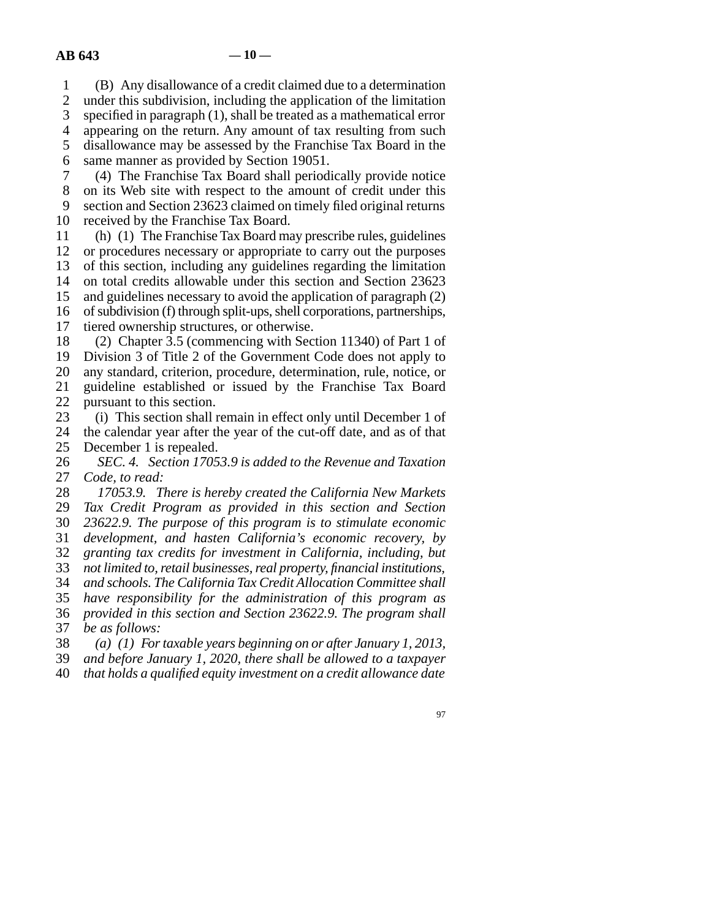1 2 (B) Any disallowance of a credit claimed due to a determination under this subdivision, including the application of the limitation

3 specified in paragraph (1), shall be treated as a mathematical error

4 appearing on the return. Any amount of tax resulting from such

5 disallowance may be assessed by the Franchise Tax Board in the

6 same manner as provided by Section 19051.

7 (4) The Franchise Tax Board shall periodically provide notice

8 on its Web site with respect to the amount of credit under this

9 section and Section 23623 claimed on timely filed original returns

10 received by the Franchise Tax Board.

11 12 (h) (1) The Franchise Tax Board may prescribe rules, guidelines or procedures necessary or appropriate to carry out the purposes

13 of this section, including any guidelines regarding the limitation

14 on total credits allowable under this section and Section 23623

15 and guidelines necessary to avoid the application of paragraph (2)

16 of subdivision (f) through split-ups, shell corporations, partnerships,

17 tiered ownership structures, or otherwise.

18 (2) Chapter 3.5 (commencing with Section 11340) of Part 1 of

19 Division 3 of Title 2 of the Government Code does not apply to

20 any standard, criterion, procedure, determination, rule, notice, or

21 22 guideline established or issued by the Franchise Tax Board pursuant to this section.

23 (i) This section shall remain in effect only until December 1 of

24 25 the calendar year after the year of the cut-off date, and as of that December 1 is repealed.

26 27 *SEC. 4. Section 17053.9 is added to the Revenue and Taxation Code, to read:*

28 *17053.9. There is hereby created the California New Markets*

29 *Tax Credit Program as provided in this section and Section*

30 *23622.9. The purpose of this program is to stimulate economic*

31 *development, and hasten California's economic recovery, by*

32 *granting tax credits for investment in California, including, but not limited to, retail businesses, real property, financial institutions,*

33 34 *and schools. The California Tax Credit Allocation Committee shall*

35 *have responsibility for the administration of this program as*

36 37 *provided in this section and Section 23622.9. The program shall be as follows:*

38 *(a) (1) For taxable years beginning on or after January 1, 2013,*

39 *and before January 1, 2020, there shall be allowed to a taxpayer*

40 *that holds a qualified equity investment on a credit allowance date*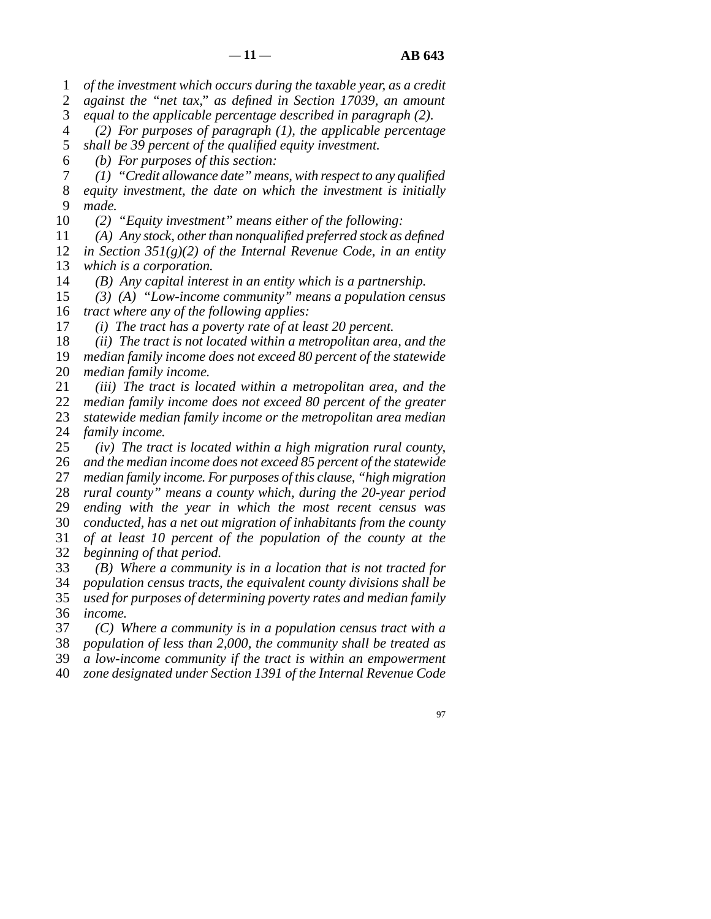1 *of the investment which occurs during the taxable year, as a credit*

2 *against the "net tax," as defined in Section 17039, an amount*

3 *equal to the applicable percentage described in paragraph (2).*

4 5 *(2) For purposes of paragraph (1), the applicable percentage shall be 39 percent of the qualified equity investment.*

6 *(b) For purposes of this section:*

7 8 9 *(1) "Credit allowance date" means, with respect to any qualified equity investment, the date on which the investment is initially made.*

10 *(2) "Equity investment" means either of the following:*

11 12 13 *(A) Any stock, other than nonqualified preferred stock as defined in Section 351(g)(2) of the Internal Revenue Code, in an entity which is a corporation.*

14 *(B) Any capital interest in an entity which is a partnership.*

15 16 *(3) (A) "Low-income community" means a population census tract where any of the following applies:*

17 *(i) The tract has a poverty rate of at least 20 percent.*

18 *(ii) The tract is not located within a metropolitan area, and the*

19 20 *median family income does not exceed 80 percent of the statewide median family income.*

21 22 *(iii) The tract is located within a metropolitan area, and the*

23 *median family income does not exceed 80 percent of the greater statewide median family income or the metropolitan area median*

24 *family income.*

25 26 27 28 29 30 31 32 *(iv) The tract is located within a high migration rural county, and the median income does not exceed 85 percent of the statewide median family income. For purposes of this clause, "high migration rural county" means a county which, during the 20-year period ending with the year in which the most recent census was conducted, has a net out migration of inhabitants from the county of at least 10 percent of the population of the county at the beginning of that period.*

33 *(B) Where a community is in a location that is not tracted for*

34 35 *population census tracts, the equivalent county divisions shall be used for purposes of determining poverty rates and median family*

36 *income.*

37 *(C) Where a community is in a population census tract with a*

38 *population of less than 2,000, the community shall be treated as*

39 *a low-income community if the tract is within an empowerment*

40 *zone designated under Section 1391 of the Internal Revenue Code*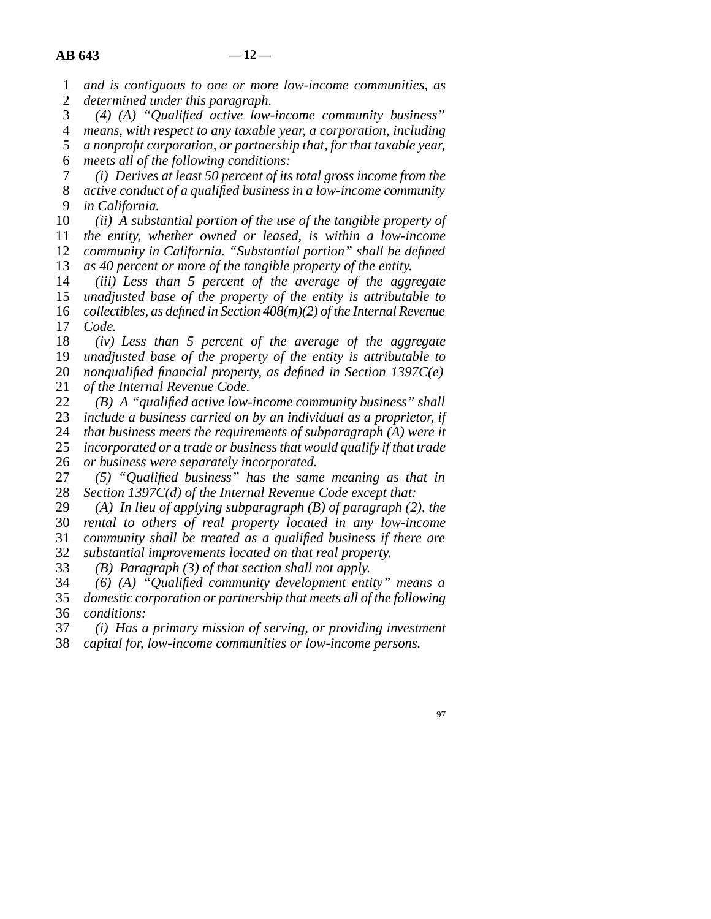1 2 *and is contiguous to one or more low-income communities, as determined under this paragraph.*

3 4 5 6 *(4) (A) "Qualified active low-income community business" means, with respect to any taxable year, a corporation, including a nonprofit corporation, or partnership that, for that taxable year, meets all of the following conditions:*

7 8 9 *(i) Derives at least 50 percent of its total gross income from the active conduct of a qualified business in a low-income community in California.*

10 11 12 13 *(ii) A substantial portion of the use of the tangible property of the entity, whether owned or leased, is within a low-income community in California. "Substantial portion" shall be defined as 40 percent or more of the tangible property of the entity.*

14 15 16 *(iii) Less than 5 percent of the average of the aggregate unadjusted base of the property of the entity is attributable to collectibles, as defined in Section 408(m)(2) of the Internal Revenue*

17 18 19 *Code. (iv) Less than 5 percent of the average of the aggregate unadjusted base of the property of the entity is attributable to*

20 21 *nonqualified financial property, as defined in Section 1397C(e) of the Internal Revenue Code.*

22 23 24 25 *(B) A "qualified active low-income community business" shall include a business carried on by an individual as a proprietor, if that business meets the requirements of subparagraph (A) were it incorporated or a trade or business that would qualify if that trade*

26 *or business were separately incorporated.*

27 28 *(5) "Qualified business" has the same meaning as that in Section 1397C(d) of the Internal Revenue Code except that:*

29 *(A) In lieu of applying subparagraph (B) of paragraph (2), the*

30 31 *rental to others of real property located in any low-income community shall be treated as a qualified business if there are*

32 *substantial improvements located on that real property.*

33 *(B) Paragraph (3) of that section shall not apply.*

34 35 36 *(6) (A) "Qualified community development entity" means a domestic corporation or partnership that meets all of the following conditions:*

37 *(i) Has a primary mission of serving, or providing investment*

38 *capital for, low-income communities or low-income persons.*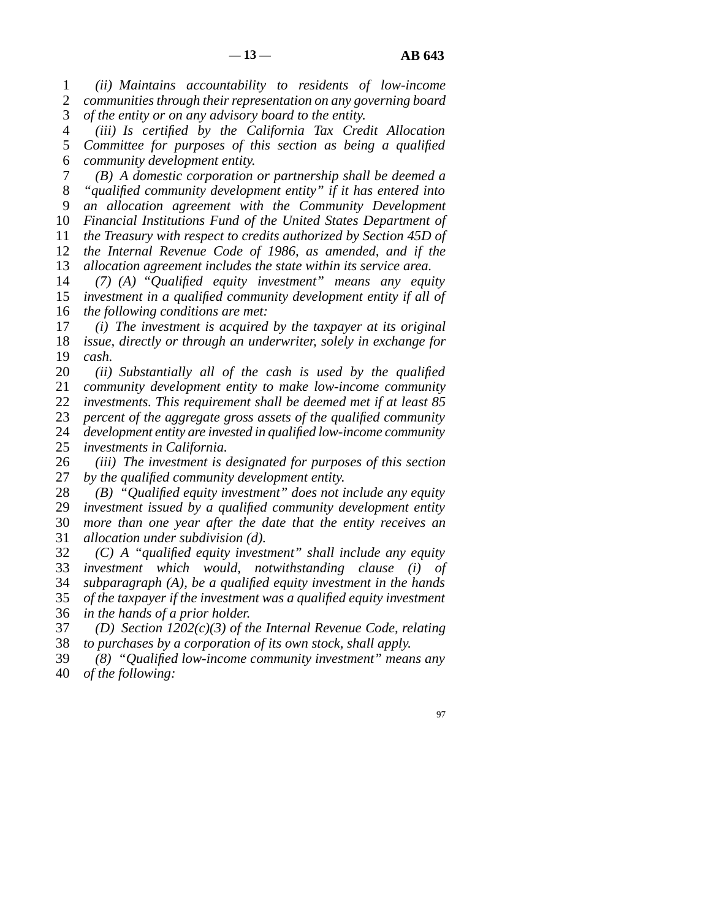1 2 3 *(ii) Maintains accountability to residents of low-income communities through their representation on any governing board of the entity or on any advisory board to the entity.*

4 5 6 *(iii) Is certified by the California Tax Credit Allocation Committee for purposes of this section as being a qualified community development entity.*

7 8 9 10 11 12 13 *(B) A domestic corporation or partnership shall be deemed a "qualified community development entity" if it has entered into an allocation agreement with the Community Development Financial Institutions Fund of the United States Department of the Treasury with respect to credits authorized by Section 45D of the Internal Revenue Code of 1986, as amended, and if the allocation agreement includes the state within its service area.*

14 15 16 *(7) (A) "Qualified equity investment" means any equity investment in a qualified community development entity if all of the following conditions are met:*

17 18 19 *(i) The investment is acquired by the taxpayer at its original issue, directly or through an underwriter, solely in exchange for cash.*

20 21 22 23 24 25 *(ii) Substantially all of the cash is used by the qualified community development entity to make low-income community investments. This requirement shall be deemed met if at least 85 percent of the aggregate gross assets of the qualified community development entity are invested in qualified low-income community investments in California.*

26 27 *(iii) The investment is designated for purposes of this section by the qualified community development entity.*

28 29 30 31 *(B) "Qualified equity investment" does not include any equity investment issued by a qualified community development entity more than one year after the date that the entity receives an allocation under subdivision (d).*

32 33 34 35 36 *(C) A "qualified equity investment" shall include any equity investment which would, notwithstanding clause (i) of subparagraph (A), be a qualified equity investment in the hands of the taxpayer if the investment was a qualified equity investment in the hands of a prior holder.*

37 38 *(D) Section 1202(c)(3) of the Internal Revenue Code, relating to purchases by a corporation of its own stock, shall apply.*

39 40 *(8) "Qualified low-income community investment" means any of the following:*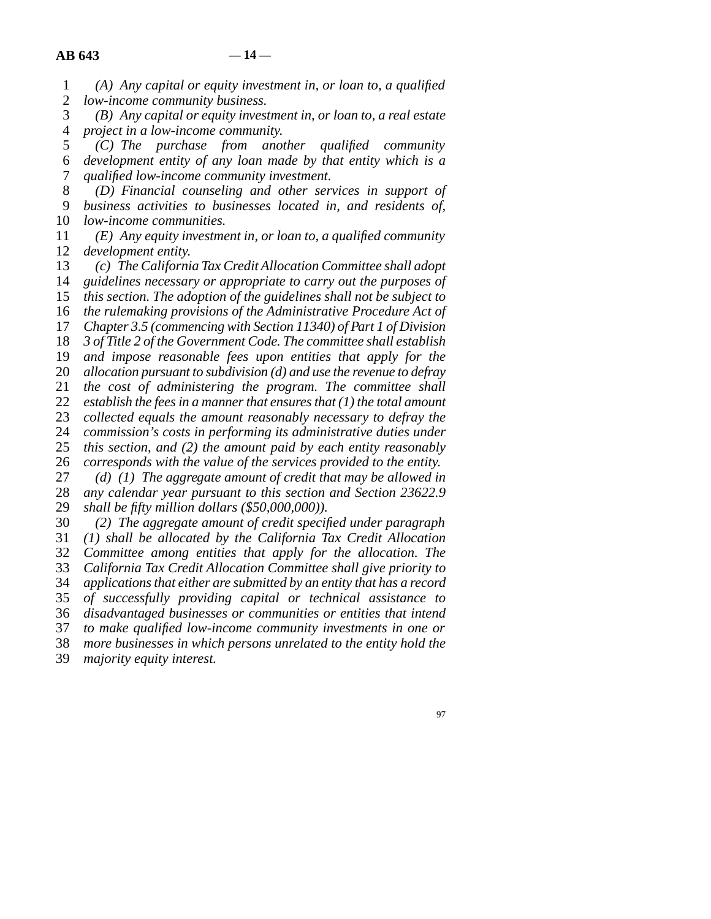*low-income community business.*

*(A) Any capital or equity investment in, or loan to, a qualified*

| $(B)$ Any capital or equity investment in, or loan to, a real estate    |  |
|-------------------------------------------------------------------------|--|
| project in a low-income community.                                      |  |
| $(C)$ The purchase from another qualified community                     |  |
| development entity of any loan made by that entity which is a           |  |
| qualified low-income community investment.                              |  |
| (D) Financial counseling and other services in support of               |  |
| business activities to businesses located in, and residents of,         |  |
| low-income communities.                                                 |  |
| $(E)$ Any equity investment in, or loan to, a qualified community       |  |
| development entity.                                                     |  |
| (c) The California Tax Credit Allocation Committee shall adopt          |  |
| guidelines necessary or appropriate to carry out the purposes of        |  |
| this section. The adoption of the guidelines shall not be subject to    |  |
| the rulemaking provisions of the Administrative Procedure Act of        |  |
| Chapter 3.5 (commencing with Section 11340) of Part 1 of Division       |  |
| 3 of Title 2 of the Government Code. The committee shall establish      |  |
| and impose reasonable fees upon entities that apply for the             |  |
| allocation pursuant to subdivision $(d)$ and use the revenue to defray  |  |
| the cost of administering the program. The committee shall              |  |
| establish the fees in a manner that ensures that $(1)$ the total amount |  |
| collected equals the amount reasonably necessary to defray the          |  |
| commission's costs in performing its administrative duties under        |  |
| this section, and (2) the amount paid by each entity reasonably         |  |
| corresponds with the value of the services provided to the entity.      |  |
| $(d)$ (1) The aggregate amount of credit that may be allowed in         |  |
| any calendar year pursuant to this section and Section 23622.9          |  |
| shall be fifty million dollars $(\$50,000,000)$ .                       |  |
| (2) The aggregate amount of credit specified under paragraph            |  |
| (1) shall be allocated by the California Tax Credit Allocation          |  |
| Committee guerra entities that smally four the allocation               |  |

31 32 33 *Committee among entities that apply for the allocation. The California Tax Credit Allocation Committee shall give priority to*

34 35 *applications that either are submitted by an entity that has a record of successfully providing capital or technical assistance to*

36 *disadvantaged businesses or communities or entities that intend*

37 *to make qualified low-income community investments in one or*

38 *more businesses in which persons unrelated to the entity hold the*

39 *majority equity interest.*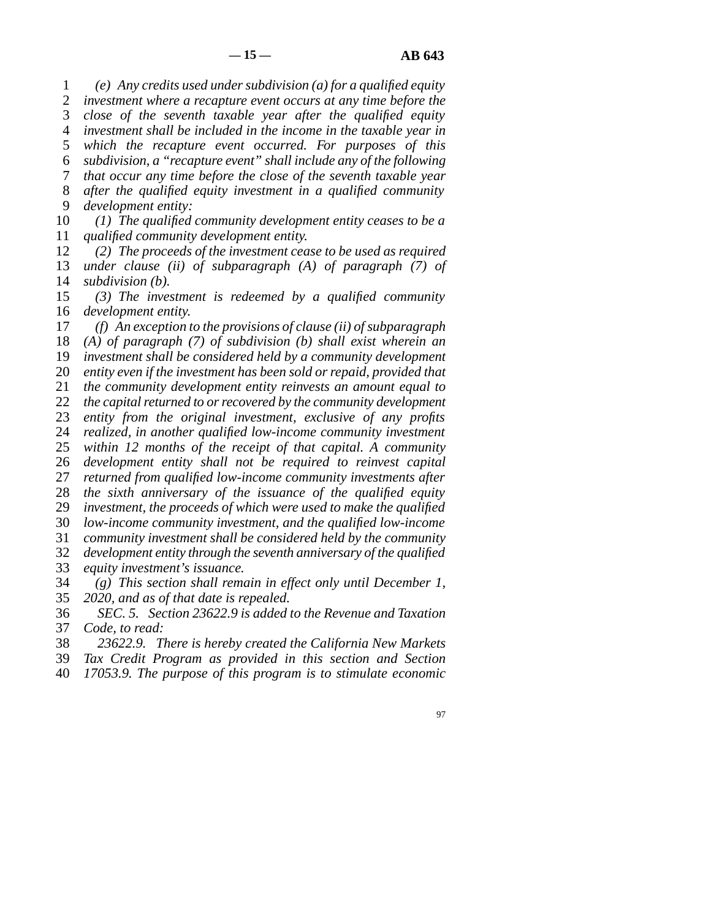1 2 3 4 5 6 7 8 9 *(e) Any credits used under subdivision (a) for a qualified equity investment where a recapture event occurs at any time before the close of the seventh taxable year after the qualified equity investment shall be included in the income in the taxable year in which the recapture event occurred. For purposes of this subdivision, a "recapture event" shall include any of the following that occur any time before the close of the seventh taxable year after the qualified equity investment in a qualified community development entity:*

10 11 *(1) The qualified community development entity ceases to be a qualified community development entity.*

12 13 14 *(2) The proceeds of the investment cease to be used as required under clause (ii) of subparagraph (A) of paragraph (7) of subdivision (b).*

15 16 *(3) The investment is redeemed by a qualified community development entity.*

17 18 19 20 21 22 23 24 25 26 27 28 29 30 31 32 33 *(f) An exception to the provisions of clause (ii) of subparagraph (A) of paragraph (7) of subdivision (b) shall exist wherein an investment shall be considered held by a community development entity even if the investment has been sold or repaid, provided that the community development entity reinvests an amount equal to the capital returned to or recovered by the community development entity from the original investment, exclusive of any profits realized, in another qualified low-income community investment within 12 months of the receipt of that capital. A community development entity shall not be required to reinvest capital returned from qualified low-income community investments after the sixth anniversary of the issuance of the qualified equity investment, the proceeds of which were used to make the qualified low-income community investment, and the qualified low-income community investment shall be considered held by the community development entity through the seventh anniversary of the qualified equity investment's issuance.*

34 35 *(g) This section shall remain in effect only until December 1, 2020, and as of that date is repealed.*

36 37 *SEC. 5. Section 23622.9 is added to the Revenue and Taxation Code, to read:*

38 *23622.9. There is hereby created the California New Markets*

39 *Tax Credit Program as provided in this section and Section*

40 *17053.9. The purpose of this program is to stimulate economic*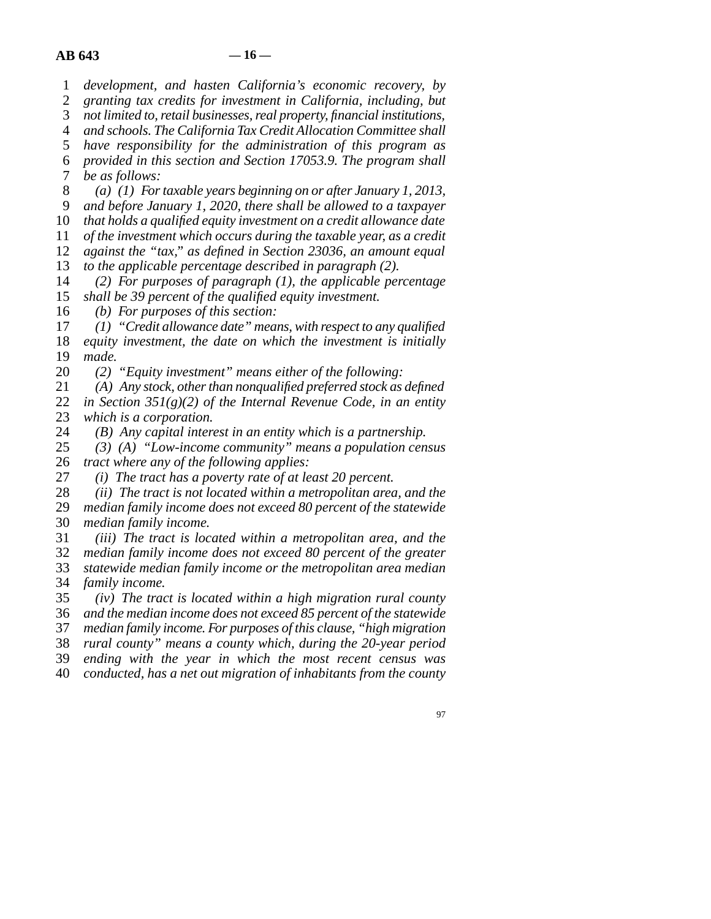1 *development, and hasten California's economic recovery, by*

2 3 *granting tax credits for investment in California, including, but not limited to, retail businesses, real property, financial institutions,*

4 *and schools. The California Tax Credit Allocation Committee shall*

5 *have responsibility for the administration of this program as*

6 *provided in this section and Section 17053.9. The program shall*

7 *be as follows:*

8 *(a) (1) For taxable years beginning on or after January 1, 2013,*

9 *and before January 1, 2020, there shall be allowed to a taxpayer*

10 *that holds a qualified equity investment on a credit allowance date*

11 *of the investment which occurs during the taxable year, as a credit*

12 *against the "tax," as defined in Section 23036, an amount equal*

13 *to the applicable percentage described in paragraph (2).*

14 15 *(2) For purposes of paragraph (1), the applicable percentage shall be 39 percent of the qualified equity investment.*

16 *(b) For purposes of this section:*

17 18 19 *(1) "Credit allowance date" means, with respect to any qualified equity investment, the date on which the investment is initially made.*

20 *(2) "Equity investment" means either of the following:*

21 22 23 *(A) Any stock, other than nonqualified preferred stock as defined in Section 351(g)(2) of the Internal Revenue Code, in an entity which is a corporation.*

24 *(B) Any capital interest in an entity which is a partnership.*

25 26 *(3) (A) "Low-income community" means a population census tract where any of the following applies:*

27 *(i) The tract has a poverty rate of at least 20 percent.*

28 *(ii) The tract is not located within a metropolitan area, and the*

29 30 *median family income does not exceed 80 percent of the statewide median family income.*

31 32 *(iii) The tract is located within a metropolitan area, and the median family income does not exceed 80 percent of the greater*

33 *statewide median family income or the metropolitan area median*

34 *family income.*

35 *(iv) The tract is located within a high migration rural county*

36 *and the median income does not exceed 85 percent of the statewide*

37 *median family income. For purposes of this clause, "high migration*

38 *rural county" means a county which, during the 20-year period*

39 *ending with the year in which the most recent census was*

40 *conducted, has a net out migration of inhabitants from the county*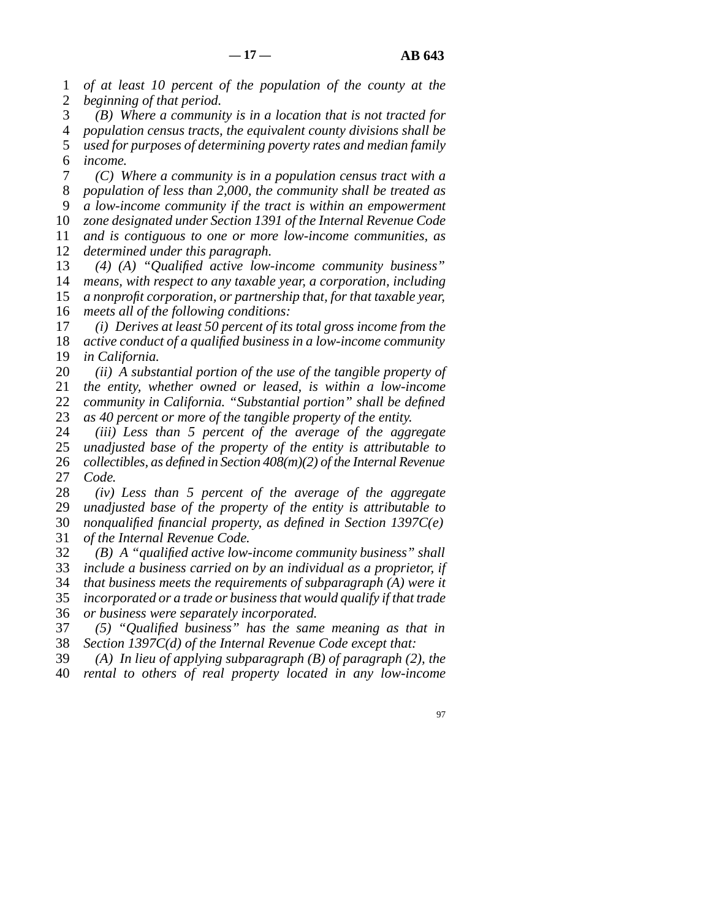1 2 *of at least 10 percent of the population of the county at the beginning of that period.*

3 4 5 6 *(B) Where a community is in a location that is not tracted for population census tracts, the equivalent county divisions shall be used for purposes of determining poverty rates and median family income.*

7 8 9 10 11 *(C) Where a community is in a population census tract with a population of less than 2,000, the community shall be treated as a low-income community if the tract is within an empowerment zone designated under Section 1391 of the Internal Revenue Code and is contiguous to one or more low-income communities, as*

12 *determined under this paragraph.*

13 14 15 16 *(4) (A) "Qualified active low-income community business" means, with respect to any taxable year, a corporation, including a nonprofit corporation, or partnership that, for that taxable year, meets all of the following conditions:*

17 *(i) Derives at least 50 percent of its total gross income from the*

18 19 *active conduct of a qualified business in a low-income community in California.*

20 21 22 *(ii) A substantial portion of the use of the tangible property of the entity, whether owned or leased, is within a low-income community in California. "Substantial portion" shall be defined*

23 *as 40 percent or more of the tangible property of the entity.*

24 25 26 27 *(iii) Less than 5 percent of the average of the aggregate unadjusted base of the property of the entity is attributable to collectibles, as defined in Section 408(m)(2) of the Internal Revenue Code.*

28 29 30 31 *(iv) Less than 5 percent of the average of the aggregate unadjusted base of the property of the entity is attributable to nonqualified financial property, as defined in Section 1397C(e) of the Internal Revenue Code.*

32 33 34 35 36 *(B) A "qualified active low-income community business" shall include a business carried on by an individual as a proprietor, if that business meets the requirements of subparagraph (A) were it incorporated or a trade or business that would qualify if that trade or business were separately incorporated.*

37 38 *(5) "Qualified business" has the same meaning as that in Section 1397C(d) of the Internal Revenue Code except that:*

39 *(A) In lieu of applying subparagraph (B) of paragraph (2), the*

40 *rental to others of real property located in any low-income*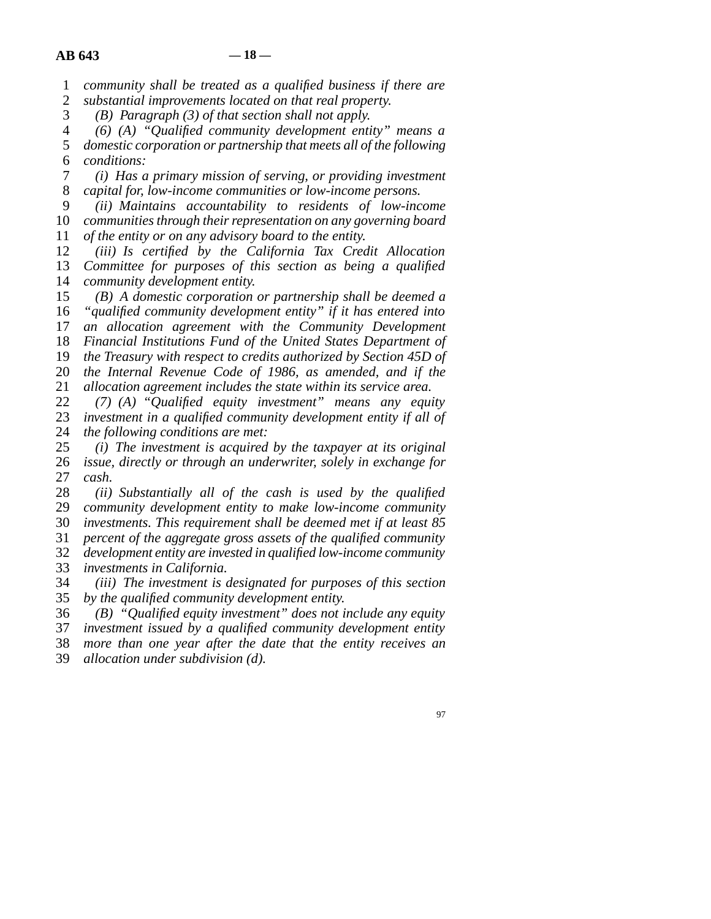1 2 *community shall be treated as a qualified business if there are substantial improvements located on that real property.*

3 *(B) Paragraph (3) of that section shall not apply.*

4 5 6 *(6) (A) "Qualified community development entity" means a domestic corporation or partnership that meets all of the following conditions:*

7 8 *(i) Has a primary mission of serving, or providing investment capital for, low-income communities or low-income persons.*

9 10 11 *(ii) Maintains accountability to residents of low-income communities through their representation on any governing board of the entity or on any advisory board to the entity.*

12 13 14 *(iii) Is certified by the California Tax Credit Allocation Committee for purposes of this section as being a qualified community development entity.*

15 16 17 18 19 20 *(B) A domestic corporation or partnership shall be deemed a "qualified community development entity" if it has entered into an allocation agreement with the Community Development Financial Institutions Fund of the United States Department of the Treasury with respect to credits authorized by Section 45D of the Internal Revenue Code of 1986, as amended, and if the*

21 *allocation agreement includes the state within its service area.*

22 23 24 *(7) (A) "Qualified equity investment" means any equity investment in a qualified community development entity if all of the following conditions are met:*

25 26 27 *(i) The investment is acquired by the taxpayer at its original issue, directly or through an underwriter, solely in exchange for cash.*

28 29 30 31 32 33 *(ii) Substantially all of the cash is used by the qualified community development entity to make low-income community investments. This requirement shall be deemed met if at least 85 percent of the aggregate gross assets of the qualified community development entity are invested in qualified low-income community investments in California.*

34 35 *(iii) The investment is designated for purposes of this section by the qualified community development entity.*

36 37 38 *(B) "Qualified equity investment" does not include any equity investment issued by a qualified community development entity more than one year after the date that the entity receives an*

39 *allocation under subdivision (d).*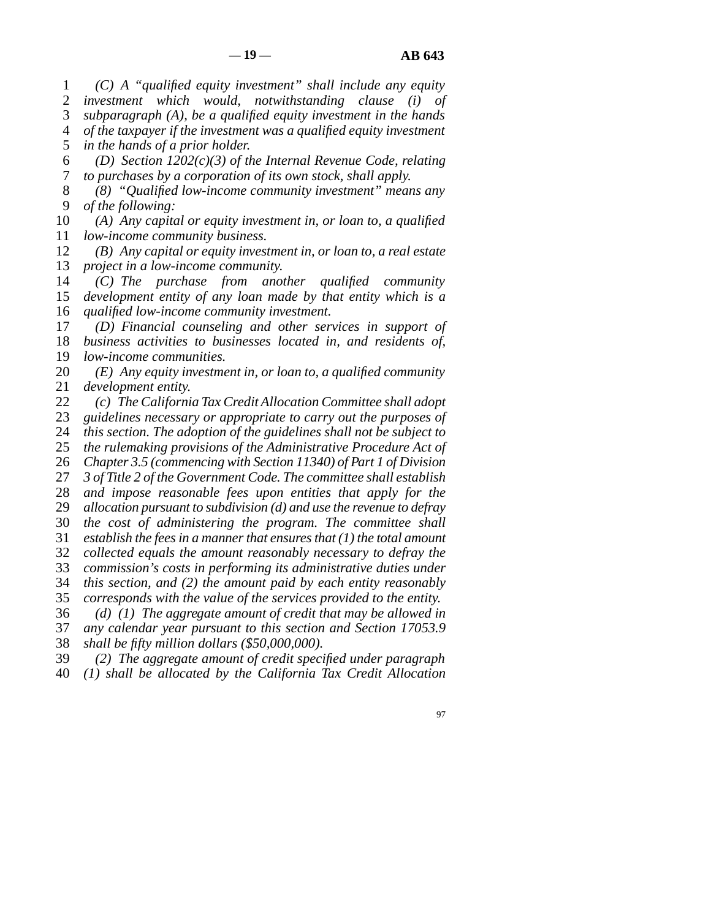1 2 3 4 5 *(C) A "qualified equity investment" shall include any equity investment which would, notwithstanding clause (i) of subparagraph (A), be a qualified equity investment in the hands of the taxpayer if the investment was a qualified equity investment in the hands of a prior holder.*

6 7 *(D) Section 1202(c)(3) of the Internal Revenue Code, relating to purchases by a corporation of its own stock, shall apply.*

8 9 *(8) "Qualified low-income community investment" means any of the following:*

10 11 *(A) Any capital or equity investment in, or loan to, a qualified low-income community business.*

12 13 *(B) Any capital or equity investment in, or loan to, a real estate project in a low-income community.*

14 15 16 *(C) The purchase from another qualified community development entity of any loan made by that entity which is a qualified low-income community investment.*

17 18 19 *(D) Financial counseling and other services in support of business activities to businesses located in, and residents of, low-income communities.*

20 21 *(E) Any equity investment in, or loan to, a qualified community development entity.*

22 23 *(c) The California Tax Credit Allocation Committee shall adopt guidelines necessary or appropriate to carry out the purposes of*

24 *this section. The adoption of the guidelines shall not be subject to*

25 *the rulemaking provisions of the Administrative Procedure Act of*

26 *Chapter 3.5 (commencing with Section 11340) of Part 1 of Division*

27 *3 of Title 2 of the Government Code. The committee shall establish*

28 29 *and impose reasonable fees upon entities that apply for the allocation pursuant to subdivision (d) and use the revenue to defray*

30 *the cost of administering the program. The committee shall*

31 *establish the fees in a manner that ensures that (1) the total amount*

32 *collected equals the amount reasonably necessary to defray the*

33 *commission's costs in performing its administrative duties under*

34 *this section, and (2) the amount paid by each entity reasonably*

35 *corresponds with the value of the services provided to the entity.*

36 37 *(d) (1) The aggregate amount of credit that may be allowed in any calendar year pursuant to this section and Section 17053.9*

38 *shall be fifty million dollars (\$50,000,000).*

39 *(2) The aggregate amount of credit specified under paragraph*

40 *(1) shall be allocated by the California Tax Credit Allocation*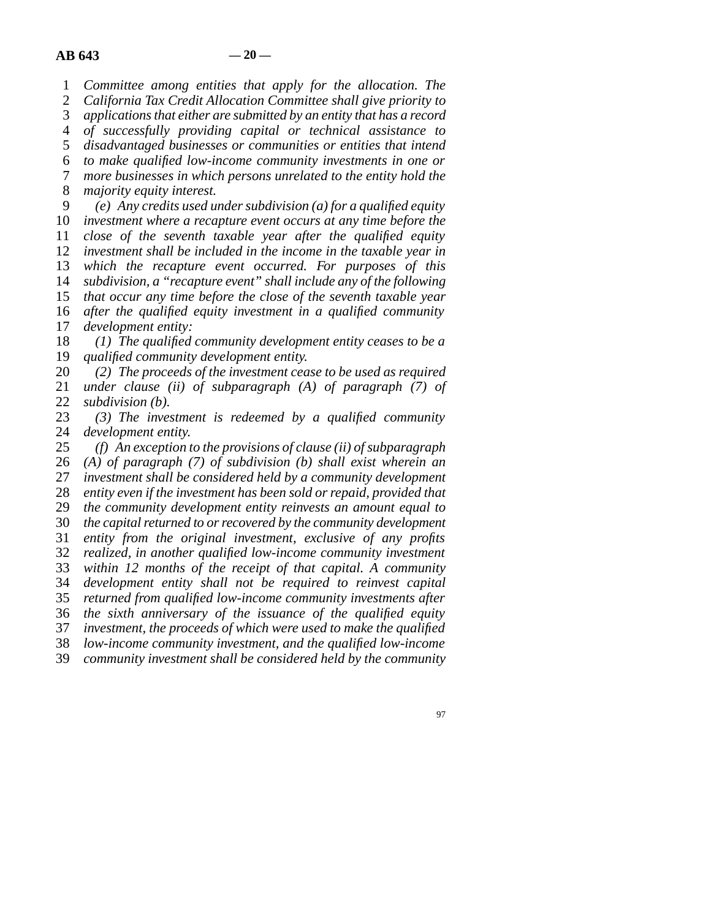1 *Committee among entities that apply for the allocation. The*

2 3 *California Tax Credit Allocation Committee shall give priority to applications that either are submitted by an entity that has a record*

4 *of successfully providing capital or technical assistance to*

5 *disadvantaged businesses or communities or entities that intend*

6 *to make qualified low-income community investments in one or*

7 8 *more businesses in which persons unrelated to the entity hold the majority equity interest.*

9 10 11 12 13 14 15 16 17 *(e) Any credits used under subdivision (a) for a qualified equity investment where a recapture event occurs at any time before the close of the seventh taxable year after the qualified equity investment shall be included in the income in the taxable year in which the recapture event occurred. For purposes of this subdivision, a "recapture event" shall include any of the following that occur any time before the close of the seventh taxable year after the qualified equity investment in a qualified community development entity:*

18 19 *(1) The qualified community development entity ceases to be a qualified community development entity.*

20 21 22 *(2) The proceeds of the investment cease to be used as required under clause (ii) of subparagraph (A) of paragraph (7) of subdivision (b).*

23 24 *(3) The investment is redeemed by a qualified community development entity.*

25 26 27 28 29 30 31 32 33 34 35 36 37 38 39 *(f) An exception to the provisions of clause (ii) of subparagraph (A) of paragraph (7) of subdivision (b) shall exist wherein an investment shall be considered held by a community development entity even if the investment has been sold or repaid, provided that the community development entity reinvests an amount equal to the capital returned to or recovered by the community development entity from the original investment, exclusive of any profits realized, in another qualified low-income community investment within 12 months of the receipt of that capital. A community development entity shall not be required to reinvest capital returned from qualified low-income community investments after the sixth anniversary of the issuance of the qualified equity investment, the proceeds of which were used to make the qualified low-income community investment, and the qualified low-income community investment shall be considered held by the community*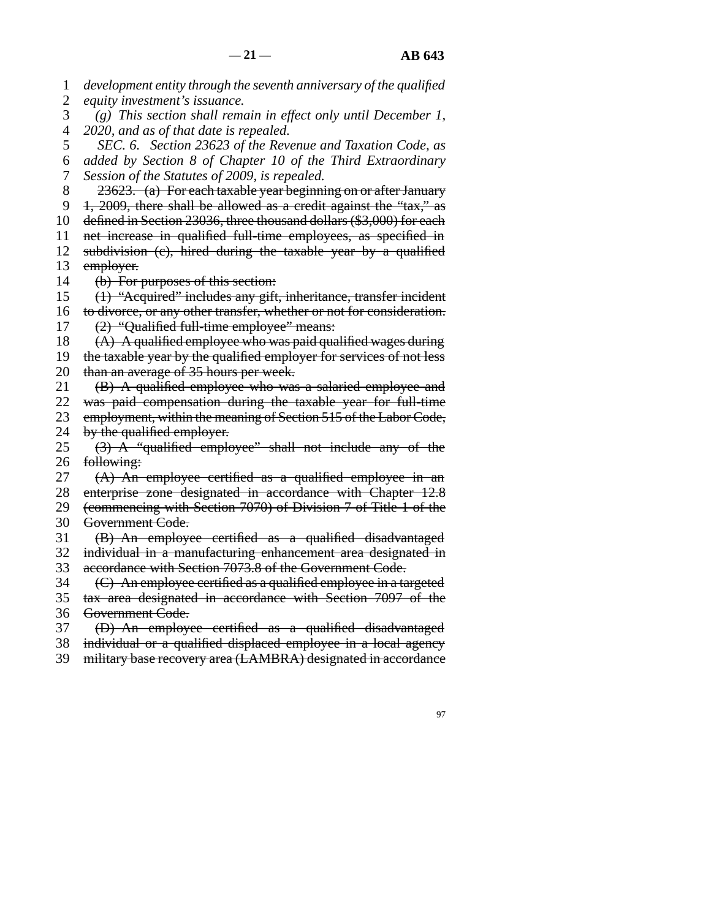1 2 *development entity through the seventh anniversary of the qualified equity investment's issuance.*

3 4 *(g) This section shall remain in effect only until December 1, 2020, and as of that date is repealed.*

5 6 7 *SEC. 6. Section 23623 of the Revenue and Taxation Code, as added by Section 8 of Chapter 10 of the Third Extraordinary Session of the Statutes of 2009, is repealed.*

8 23623. (a) For each taxable year beginning on or after January

9 1, 2009, there shall be allowed as a credit against the "tax," as

10 11 defined in Section 23036, three thousand dollars (\$3,000) for each net increase in qualified full-time employees, as specified in

12 13 subdivision (c), hired during the taxable year by a qualified employer.

14 (b) For purposes of this section:

15 (1) "Acquired" includes any gift, inheritance, transfer incident

16 to divorce, or any other transfer, whether or not for consideration.

17 (2) "Qualified full-time employee" means:

18 (A) A qualified employee who was paid qualified wages during

19 20 the taxable year by the qualified employer for services of not less than an average of 35 hours per week.

21 (B) A qualified employee who was a salaried employee and

22 was paid compensation during the taxable year for full-time

23 24 employment, within the meaning of Section 515 of the Labor Code, by the qualified employer.

25 26 (3) A "qualified employee" shall not include any of the following:

27 28 (A) An employee certified as a qualified employee in an enterprise zone designated in accordance with Chapter 12.8

29 (commencing with Section 7070) of Division 7 of Title 1 of the

30 Government Code.

31 (B) An employee certified as a qualified disadvantaged

32 33 individual in a manufacturing enhancement area designated in accordance with Section 7073.8 of the Government Code.

34 (C) An employee certified as a qualified employee in a targeted

35 36 tax area designated in accordance with Section 7097 of the Government Code.

37 (D) An employee certified as a qualified disadvantaged

38 individual or a qualified displaced employee in a local agency

39 military base recovery area (LAMBRA) designated in accordance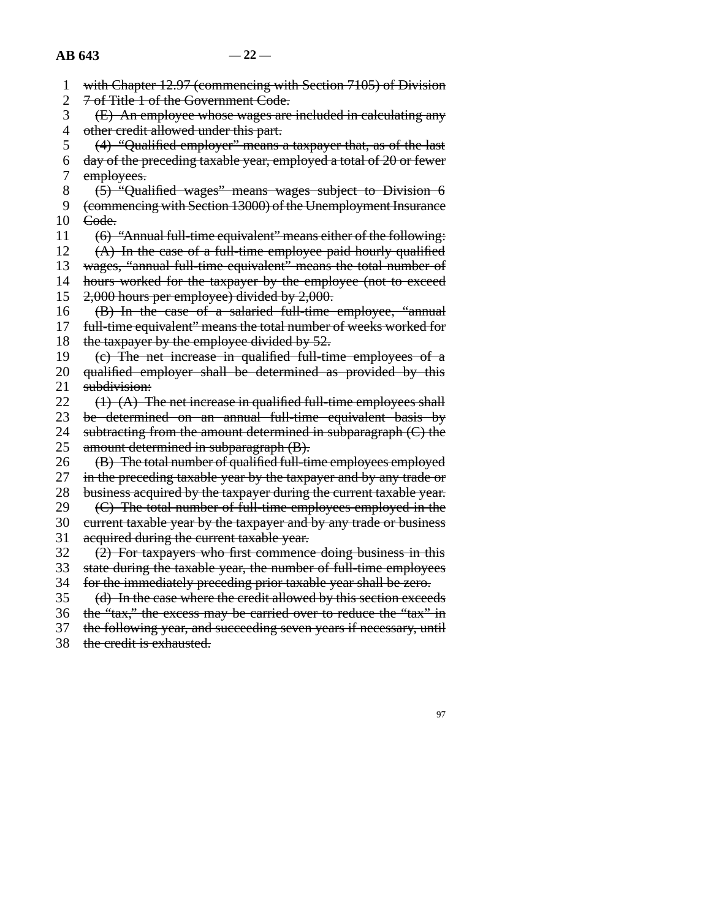|  | with Chapter 12.07 (commonoing with Soction 7105) of Division |  |
|--|---------------------------------------------------------------|--|
|  | with Chapter 12.77 (commencing with Section 7103) of Division |  |

- 2 7 of Title 1 of the Government Code.
- 3 4 (E) An employee whose wages are included in calculating any other credit allowed under this part.
- 5 6 7 (4) "Qualified employer" means a taxpayer that, as of the last day of the preceding taxable year, employed a total of 20 or fewer employees.
- 8 (5) "Qualified wages" means wages subject to Division 6
- 9 (commencing with Section 13000) of the Unemployment Insurance
- 10 Code.
- 11 (6) "Annual full-time equivalent" means either of the following:

12 (A) In the case of a full-time employee paid hourly qualified

- 13 wages, "annual full-time equivalent" means the total number of
- 14 hours worked for the taxpayer by the employee (not to exceed
- 15 16 2,000 hours per employee) divided by 2,000. (B) In the case of a salaried full-time employee, "annual
- 17 full-time equivalent" means the total number of weeks worked for
- 18 the taxpayer by the employee divided by 52.
- 19 20 (c) The net increase in qualified full-time employees of a qualified employer shall be determined as provided by this
- 21 subdivision:
- 22 23  $(1)$   $(A)$  The net increase in qualified full-time employees shall
- be determined on an annual full-time equivalent basis by
- 24 25 subtracting from the amount determined in subparagraph (C) the amount determined in subparagraph (B).
- 26 27 (B) The total number of qualified full-time employees employed in the preceding taxable year by the taxpayer and by any trade or
- 28 business acquired by the taxpayer during the current taxable year.
- 29 (C) The total number of full-time employees employed in the
- 30 31 current taxable year by the taxpayer and by any trade or business acquired during the current taxable year.
- 32 (2) For taxpayers who first commence doing business in this
- 33 state during the taxable year, the number of full-time employees
- 34 for the immediately preceding prior taxable year shall be zero.
- 35 (d) In the case where the credit allowed by this section exceeds
- 36 the "tax," the excess may be carried over to reduce the "tax" in
- 37 the following year, and succeeding seven years if necessary, until
- 38 the credit is exhausted.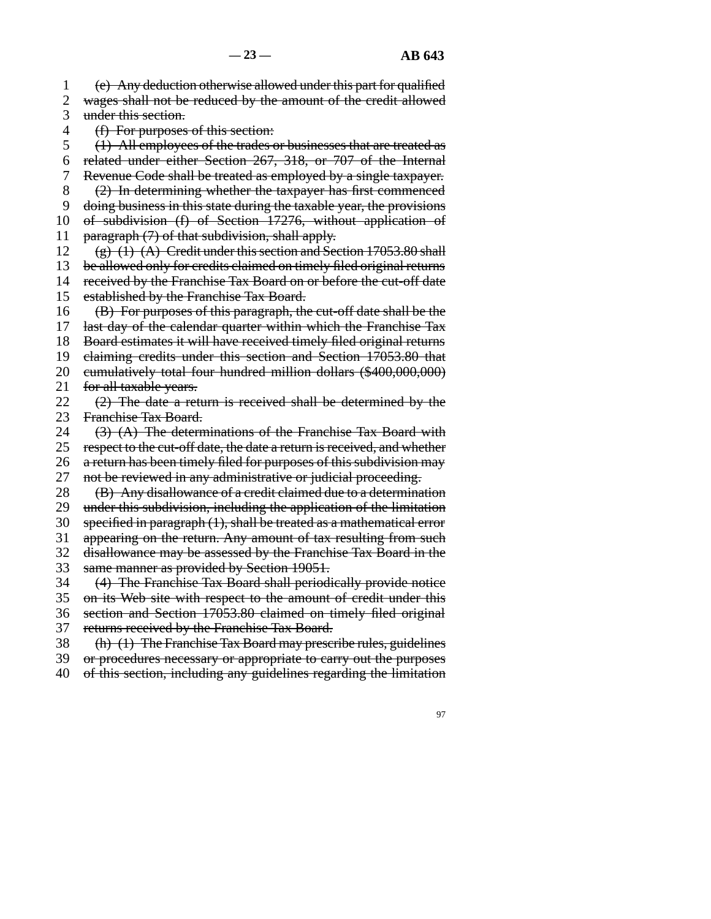1 2 3 (e) Any deduction otherwise allowed under this part for qualified wages shall not be reduced by the amount of the credit allowed under this section.

- 4 (f) For purposes of this section:
- 5 (1) All employees of the trades or businesses that are treated as
- 6 related under either Section 267, 318, or 707 of the Internal
- 7 Revenue Code shall be treated as employed by a single taxpayer.
- 8 (2) In determining whether the taxpayer has first commenced
- 9 doing business in this state during the taxable year, the provisions
- 10 of subdivision (f) of Section 17276, without application of
- 11 paragraph (7) of that subdivision, shall apply.
- 12  $(g)$  (1) (A) Credit under this section and Section 17053.80 shall
- 13 be allowed only for credits claimed on timely filed original returns
- 14 received by the Franchise Tax Board on or before the cut-off date
- 15 established by the Franchise Tax Board.
- 16 (B) For purposes of this paragraph, the cut-off date shall be the
- 17 last day of the calendar quarter within which the Franchise Tax
- 18 Board estimates it will have received timely filed original returns
- 19 claiming credits under this section and Section 17053.80 that
- 20 cumulatively total four hundred million dollars (\$400,000,000)
- 21 for all taxable years.
- 22 23 (2) The date a return is received shall be determined by the Franchise Tax Board.
- 24 (3) (A) The determinations of the Franchise Tax Board with
- 25 26 respect to the cut-off date, the date a return is received, and whether a return has been timely filed for purposes of this subdivision may
- 27 not be reviewed in any administrative or judicial proceeding.
- 28 (B) Any disallowance of a credit claimed due to a determination
- 29 under this subdivision, including the application of the limitation
- 30 specified in paragraph (1), shall be treated as a mathematical error
- 31 appearing on the return. Any amount of tax resulting from such
- 32 disallowance may be assessed by the Franchise Tax Board in the
- 33 same manner as provided by Section 19051.
- 34 (4) The Franchise Tax Board shall periodically provide notice
- 35 on its Web site with respect to the amount of credit under this
- 36 section and Section 17053.80 claimed on timely filed original
- 37 returns received by the Franchise Tax Board.
- 38 (h) (1) The Franchise Tax Board may prescribe rules, guidelines
- 39 or procedures necessary or appropriate to carry out the purposes
- 40 of this section, including any guidelines regarding the limitation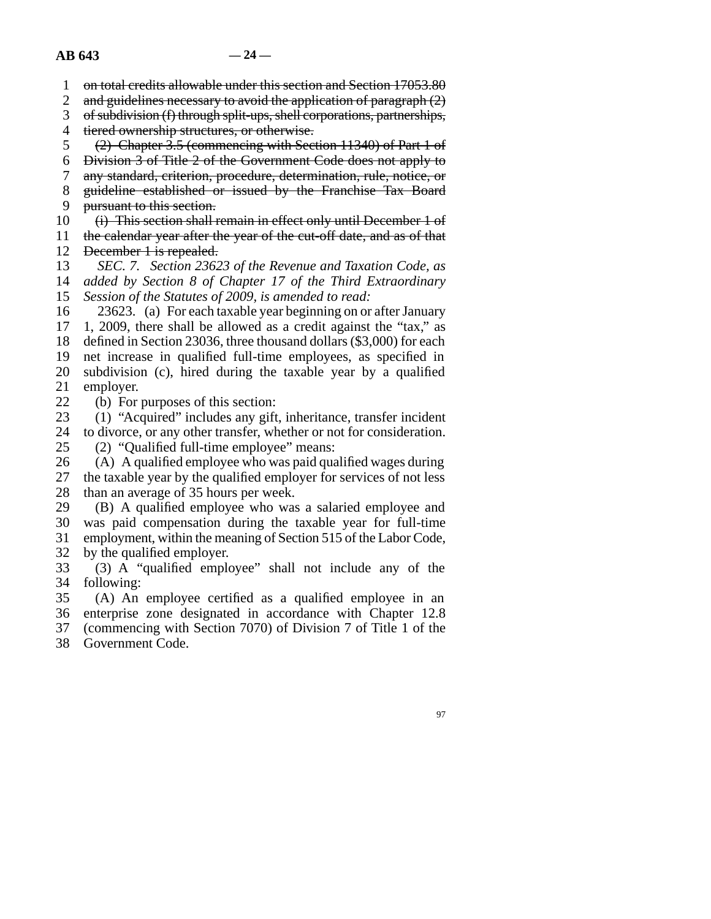1 on total credits allowable under this section and Section 17053.80

2 and guidelines necessary to avoid the application of paragraph (2)

3 of subdivision (f) through split-ups, shell corporations, partnerships,

4 tiered ownership structures, or otherwise.

5 (2) Chapter 3.5 (commencing with Section 11340) of Part 1 of

- 6 Division 3 of Title 2 of the Government Code does not apply to
- 7 any standard, criterion, procedure, determination, rule, notice, or

8 guideline established or issued by the Franchise Tax Board

9 pursuant to this section.

10 (i) This section shall remain in effect only until December 1 of

11 12 the calendar year after the year of the cut-off date, and as of that December 1 is repealed.

13 14 15 *SEC. 7. Section 23623 of the Revenue and Taxation Code, as added by Section 8 of Chapter 17 of the Third Extraordinary Session of the Statutes of 2009, is amended to read:*

16 17 18 19 20 23623. (a) For each taxable year beginning on or after January 1, 2009, there shall be allowed as a credit against the "tax," as defined in Section 23036, three thousand dollars (\$3,000) for each net increase in qualified full-time employees, as specified in subdivision (c), hired during the taxable year by a qualified

21 employer.

22 (b) For purposes of this section:

23 (1) "Acquired" includes any gift, inheritance, transfer incident

24 to divorce, or any other transfer, whether or not for consideration.

25 (2) "Qualified full-time employee" means:

26 27 28 (A) A qualified employee who was paid qualified wages during the taxable year by the qualified employer for services of not less than an average of 35 hours per week.

29 30 31 (B) A qualified employee who was a salaried employee and was paid compensation during the taxable year for full-time employment, within the meaning of Section 515 of the Labor Code,

32 by the qualified employer.

33 34 (3) A "qualified employee" shall not include any of the following:

35 (A) An employee certified as a qualified employee in an

36 37 enterprise zone designated in accordance with Chapter 12.8 (commencing with Section 7070) of Division 7 of Title 1 of the

38 Government Code.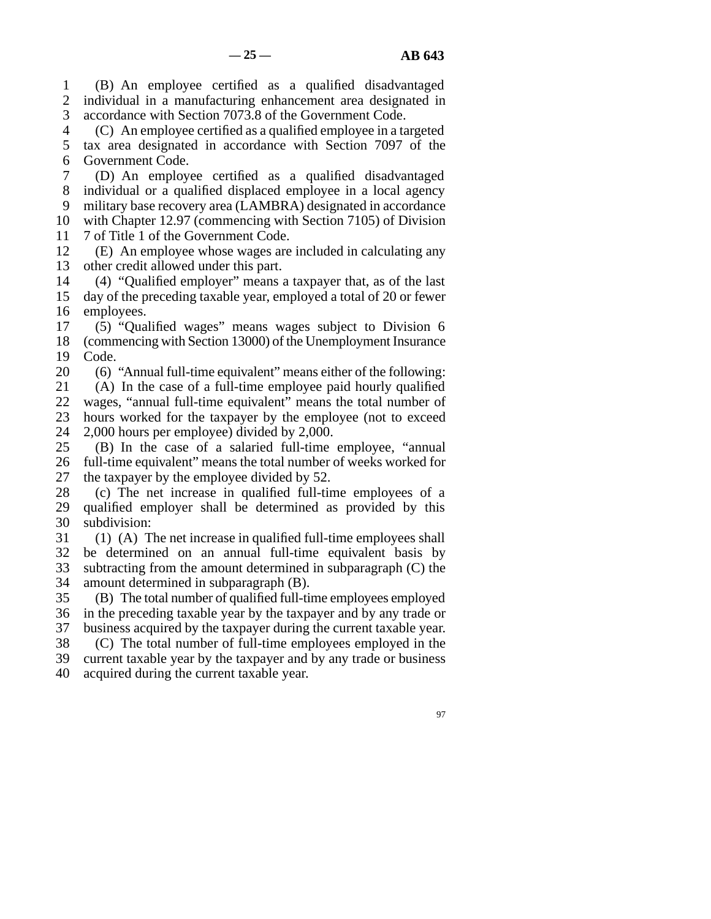1 2 3 (B) An employee certified as a qualified disadvantaged individual in a manufacturing enhancement area designated in accordance with Section 7073.8 of the Government Code.

4 5 6 (C) An employee certified as a qualified employee in a targeted tax area designated in accordance with Section 7097 of the Government Code.

7 8 9 10 11 (D) An employee certified as a qualified disadvantaged individual or a qualified displaced employee in a local agency military base recovery area (LAMBRA) designated in accordance with Chapter 12.97 (commencing with Section 7105) of Division 7 of Title 1 of the Government Code.

12 13 (E) An employee whose wages are included in calculating any other credit allowed under this part.

14 15 16 (4) "Qualified employer" means a taxpayer that, as of the last day of the preceding taxable year, employed a total of 20 or fewer employees.

17 18 19 (5) "Qualified wages" means wages subject to Division 6 (commencing with Section 13000) of the Unemployment Insurance Code.

20 21 22 23 24 (6) "Annual full-time equivalent" means either of the following: (A) In the case of a full-time employee paid hourly qualified wages, "annual full-time equivalent" means the total number of hours worked for the taxpayer by the employee (not to exceed 2,000 hours per employee) divided by 2,000.

25 26 27 (B) In the case of a salaried full-time employee, "annual full-time equivalent" means the total number of weeks worked for the taxpayer by the employee divided by 52.

28 29 30 (c) The net increase in qualified full-time employees of a qualified employer shall be determined as provided by this subdivision:

31 32 33 34 (1) (A) The net increase in qualified full-time employees shall be determined on an annual full-time equivalent basis by subtracting from the amount determined in subparagraph (C) the amount determined in subparagraph (B).

35 36 37 38 (B) The total number of qualified full-time employees employed in the preceding taxable year by the taxpayer and by any trade or business acquired by the taxpayer during the current taxable year. (C) The total number of full-time employees employed in the

39 40 current taxable year by the taxpayer and by any trade or business acquired during the current taxable year.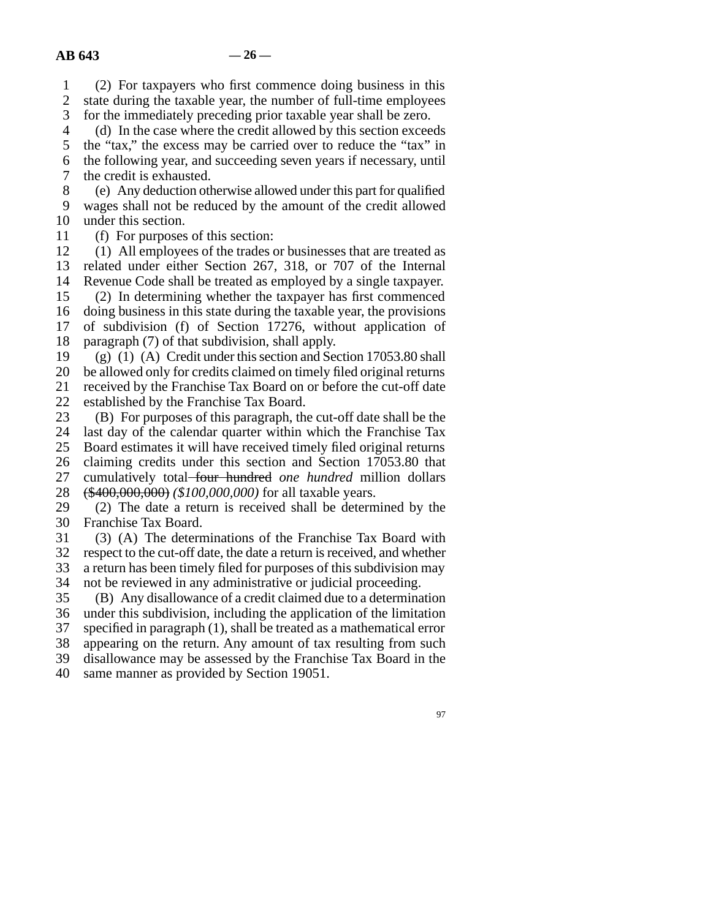1 2 3 (2) For taxpayers who first commence doing business in this state during the taxable year, the number of full-time employees for the immediately preceding prior taxable year shall be zero.

4 5 6 7 (d) In the case where the credit allowed by this section exceeds the "tax," the excess may be carried over to reduce the "tax" in the following year, and succeeding seven years if necessary, until the credit is exhausted.

8 9 10 (e) Any deduction otherwise allowed under this part for qualified wages shall not be reduced by the amount of the credit allowed under this section.

11 (f) For purposes of this section:

12 13 14 15 16 (1) All employees of the trades or businesses that are treated as related under either Section 267, 318, or 707 of the Internal Revenue Code shall be treated as employed by a single taxpayer. (2) In determining whether the taxpayer has first commenced doing business in this state during the taxable year, the provisions

17 18 of subdivision (f) of Section 17276, without application of paragraph (7) of that subdivision, shall apply.

19 (g) (1) (A) Credit under this section and Section 17053.80 shall

20 21 22 be allowed only for credits claimed on timely filed original returns received by the Franchise Tax Board on or before the cut-off date established by the Franchise Tax Board.

23 (B) For purposes of this paragraph, the cut-off date shall be the

24 last day of the calendar quarter within which the Franchise Tax

25 26 Board estimates it will have received timely filed original returns claiming credits under this section and Section 17053.80 that

27 cumulatively total four hundred *one hundred* million dollars

28 (\$400,000,000) *(\$100,000,000)* for all taxable years.

29 30 (2) The date a return is received shall be determined by the Franchise Tax Board.

31 32 (3) (A) The determinations of the Franchise Tax Board with respect to the cut-off date, the date a return is received, and whether

33 a return has been timely filed for purposes of this subdivision may

34 not be reviewed in any administrative or judicial proceeding.

35 36 37 38 (B) Any disallowance of a credit claimed due to a determination under this subdivision, including the application of the limitation specified in paragraph (1), shall be treated as a mathematical error appearing on the return. Any amount of tax resulting from such

39 disallowance may be assessed by the Franchise Tax Board in the

40 same manner as provided by Section 19051.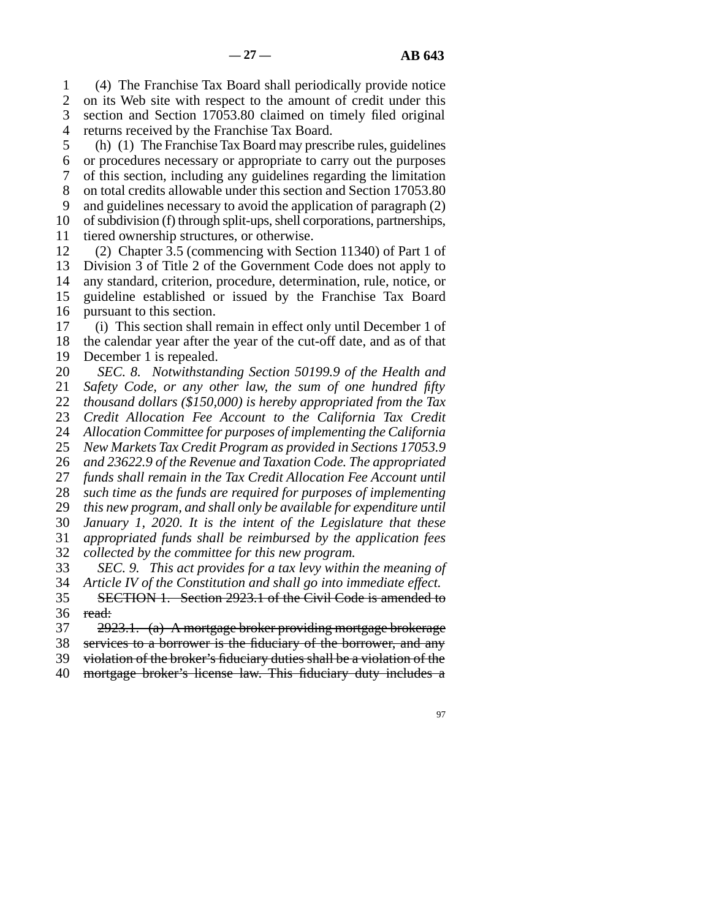1 2 3 4 (4) The Franchise Tax Board shall periodically provide notice on its Web site with respect to the amount of credit under this section and Section 17053.80 claimed on timely filed original returns received by the Franchise Tax Board.

5 6 7 8 9 10 11 (h) (1) The Franchise Tax Board may prescribe rules, guidelines or procedures necessary or appropriate to carry out the purposes of this section, including any guidelines regarding the limitation on total credits allowable under this section and Section 17053.80 and guidelines necessary to avoid the application of paragraph (2) of subdivision (f) through split-ups, shell corporations, partnerships, tiered ownership structures, or otherwise.

12 13 14 15 16 (2) Chapter 3.5 (commencing with Section 11340) of Part 1 of Division 3 of Title 2 of the Government Code does not apply to any standard, criterion, procedure, determination, rule, notice, or guideline established or issued by the Franchise Tax Board pursuant to this section.

17 18 19 (i) This section shall remain in effect only until December 1 of the calendar year after the year of the cut-off date, and as of that December 1 is repealed.

20 21 22 23 24 25 26 27 28 29 30 31 32 33 34 *SEC. 8. Notwithstanding Section 50199.9 of the Health and Safety Code, or any other law, the sum of one hundred fifty thousand dollars (\$150,000) is hereby appropriated from the Tax Credit Allocation Fee Account to the California Tax Credit Allocation Committee for purposes of implementing the California New Markets Tax Credit Program as provided in Sections 17053.9 and 23622.9 of the Revenue and Taxation Code. The appropriated funds shall remain in the Tax Credit Allocation Fee Account until such time as the funds are required for purposes of implementing this new program, and shall only be available for expenditure until January 1, 2020. It is the intent of the Legislature that these appropriated funds shall be reimbursed by the application fees collected by the committee for this new program. SEC. 9. This act provides for a tax levy within the meaning of*

35 36 *Article IV of the Constitution and shall go into immediate effect.* SECTION 1. Section 2923.1 of the Civil Code is amended to read:

37 2923.1. (a) A mortgage broker providing mortgage brokerage

38 services to a borrower is the fiduciary of the borrower, and any

39 violation of the broker's fiduciary duties shall be a violation of the

40 mortgage broker's license law. This fiduciary duty includes a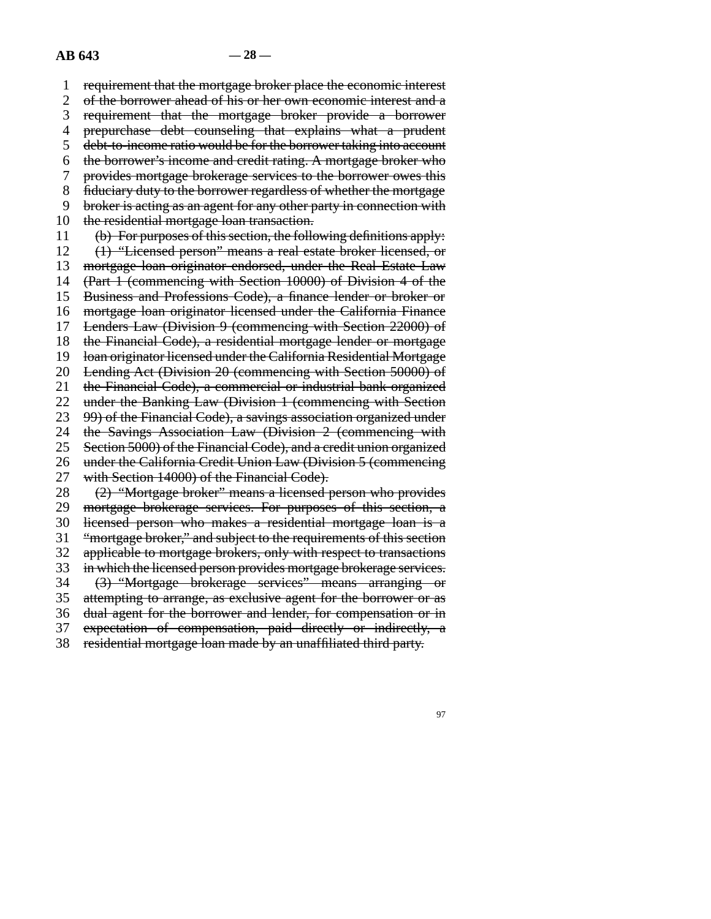1 2 3 4 5 6 7 8 9 10 11 12 13 14 15 16 17 18 19 20 21 22 23 24 25 26 27 28 29 30 31 32 33 34 35 36 37 38 requirement that the mortgage broker place the economic interest of the borrower ahead of his or her own economic interest and a requirement that the mortgage broker provide a borrower prepurchase debt counseling that explains what a prudent debt-to-income ratio would be for the borrower taking into account the borrower's income and credit rating. A mortgage broker who provides mortgage brokerage services to the borrower owes this fiduciary duty to the borrower regardless of whether the mortgage broker is acting as an agent for any other party in connection with the residential mortgage loan transaction. (b) For purposes of this section, the following definitions apply: (1) "Licensed person" means a real estate broker licensed, or mortgage loan originator endorsed, under the Real Estate Law (Part 1 (commencing with Section 10000) of Division 4 of the Business and Professions Code), a finance lender or broker or mortgage loan originator licensed under the California Finance Lenders Law (Division 9 (commencing with Section 22000) of the Financial Code), a residential mortgage lender or mortgage loan originator licensed under the California Residential Mortgage Lending Act (Division 20 (commencing with Section 50000) of the Financial Code), a commercial or industrial bank organized under the Banking Law (Division 1 (commencing with Section 99) of the Financial Code), a savings association organized under the Savings Association Law (Division 2 (commencing with Section 5000) of the Financial Code), and a credit union organized under the California Credit Union Law (Division 5 (commencing with Section 14000) of the Financial Code). (2) "Mortgage broker" means a licensed person who provides mortgage brokerage services. For purposes of this section, a licensed person who makes a residential mortgage loan is a "mortgage broker," and subject to the requirements of this section applicable to mortgage brokers, only with respect to transactions in which the licensed person provides mortgage brokerage services. (3) "Mortgage brokerage services" means arranging or attempting to arrange, as exclusive agent for the borrower or as dual agent for the borrower and lender, for compensation or in expectation of compensation, paid directly or indirectly, a residential mortgage loan made by an unaffiliated third party.